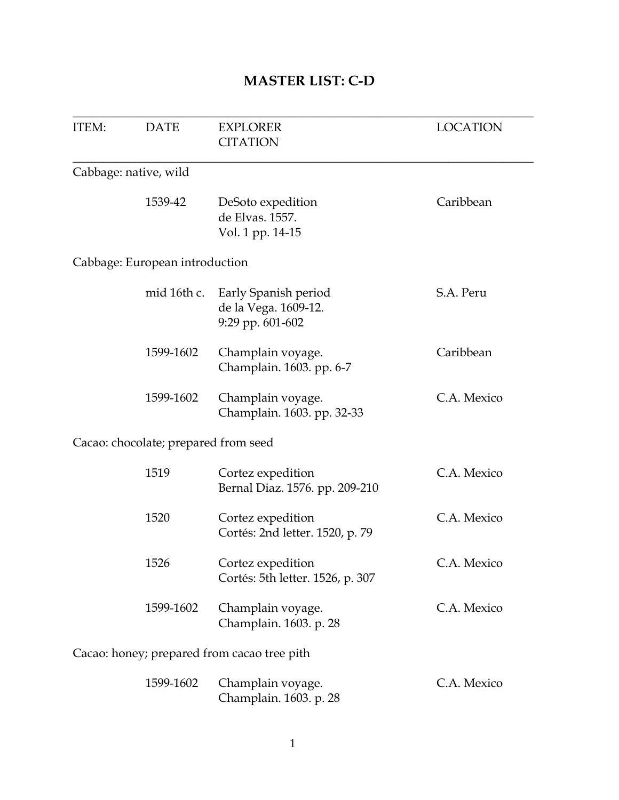### **MASTER LIST: C-D**

| <b>ITEM:</b> | <b>DATE</b>                          | <b>EXPLORER</b><br><b>CITATION</b>                               | <b>LOCATION</b> |
|--------------|--------------------------------------|------------------------------------------------------------------|-----------------|
|              | Cabbage: native, wild                |                                                                  |                 |
|              | 1539-42                              | DeSoto expedition<br>de Elvas. 1557.<br>Vol. 1 pp. 14-15         | Caribbean       |
|              | Cabbage: European introduction       |                                                                  |                 |
|              | mid 16th c.                          | Early Spanish period<br>de la Vega. 1609-12.<br>9:29 pp. 601-602 | S.A. Peru       |
|              | 1599-1602                            | Champlain voyage.<br>Champlain. 1603. pp. 6-7                    | Caribbean       |
|              | 1599-1602                            | Champlain voyage.<br>Champlain. 1603. pp. 32-33                  | C.A. Mexico     |
|              | Cacao: chocolate; prepared from seed |                                                                  |                 |
|              | 1519                                 | Cortez expedition<br>Bernal Diaz. 1576. pp. 209-210              | C.A. Mexico     |
|              | 1520                                 | Cortez expedition<br>Cortés: 2nd letter. 1520, p. 79             | C.A. Mexico     |
|              | 1526                                 | Cortez expedition<br>Cortés: 5th letter. 1526, p. 307            | C.A. Mexico     |
|              | 1599-1602                            | Champlain voyage.<br>Champlain. 1603. p. 28                      | C.A. Mexico     |
|              |                                      | Cacao: honey; prepared from cacao tree pith                      |                 |
|              | 1599-1602                            | Champlain voyage.<br>Champlain. 1603. p. 28                      | C.A. Mexico     |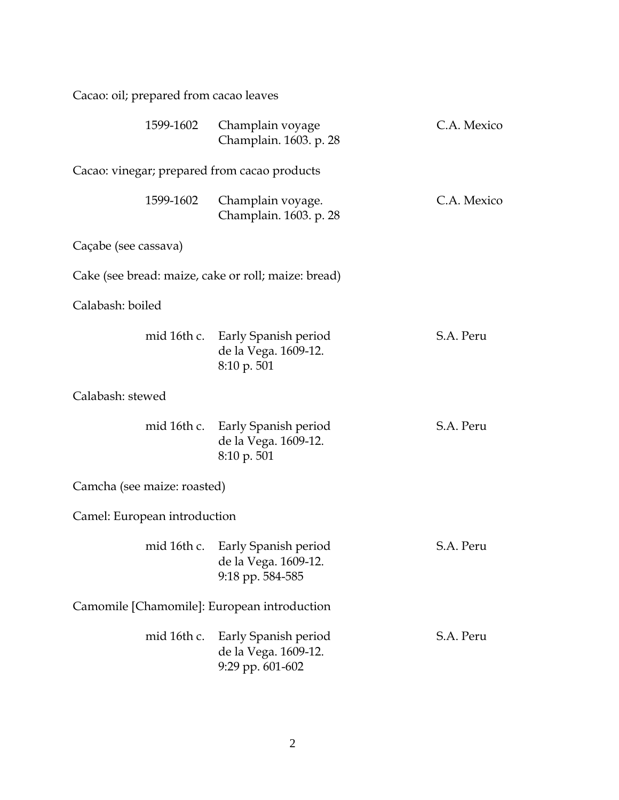| Cacao: oil; prepared from cacao leaves              |                                                                              |             |
|-----------------------------------------------------|------------------------------------------------------------------------------|-------------|
| 1599-1602                                           | Champlain voyage<br>Champlain. 1603. p. 28                                   | C.A. Mexico |
| Cacao: vinegar; prepared from cacao products        |                                                                              |             |
| 1599-1602                                           | Champlain voyage.<br>Champlain. 1603. p. 28                                  | C.A. Mexico |
| Caçabe (see cassava)                                |                                                                              |             |
| Cake (see bread: maize, cake or roll; maize: bread) |                                                                              |             |
| Calabash: boiled                                    |                                                                              |             |
|                                                     | mid 16th c. Early Spanish period<br>de la Vega. 1609-12.<br>8:10 p. 501      | S.A. Peru   |
| Calabash: stewed                                    |                                                                              |             |
|                                                     | mid 16th c. Early Spanish period<br>de la Vega. 1609-12.<br>8:10 p. 501      | S.A. Peru   |
| Camcha (see maize: roasted)                         |                                                                              |             |
| Camel: European introduction                        |                                                                              |             |
|                                                     | mid 16th c. Early Spanish period<br>de la Vega. 1609-12.<br>9:18 pp. 584-585 | S.A. Peru   |
| Camomile [Chamomile]: European introduction         |                                                                              |             |
| mid 16th c.                                         | Early Spanish period<br>de la Vega. 1609-12.<br>9:29 pp. 601-602             | S.A. Peru   |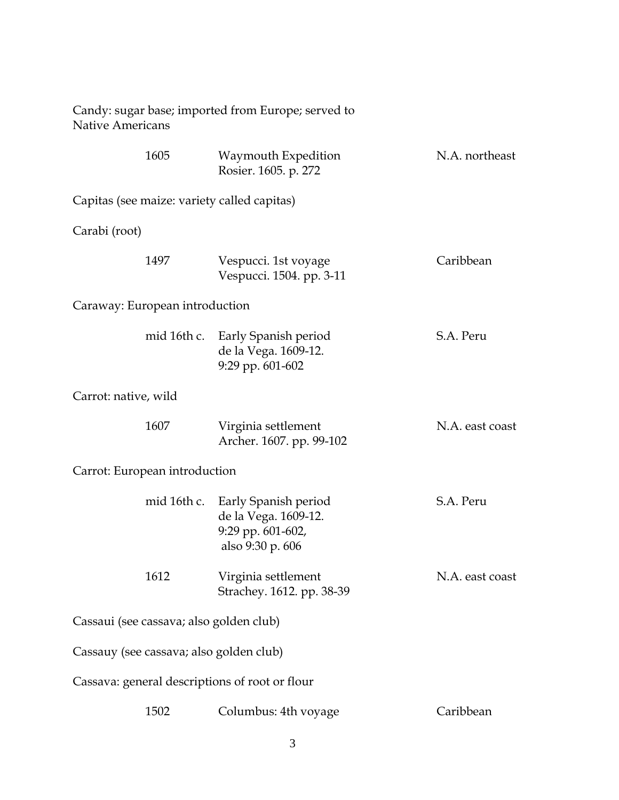| <b>Native Americans</b>                 |      | Candy: sugar base; imported from Europe; served to                                                |                 |
|-----------------------------------------|------|---------------------------------------------------------------------------------------------------|-----------------|
|                                         | 1605 | Waymouth Expedition<br>Rosier. 1605. p. 272                                                       | N.A. northeast  |
|                                         |      | Capitas (see maize: variety called capitas)                                                       |                 |
| Carabi (root)                           |      |                                                                                                   |                 |
|                                         | 1497 | Vespucci. 1st voyage<br>Vespucci. 1504. pp. 3-11                                                  | Caribbean       |
| Caraway: European introduction          |      |                                                                                                   |                 |
|                                         |      | mid 16th c. Early Spanish period<br>de la Vega. 1609-12.<br>9:29 pp. 601-602                      | S.A. Peru       |
| Carrot: native, wild                    |      |                                                                                                   |                 |
|                                         | 1607 | Virginia settlement<br>Archer. 1607. pp. 99-102                                                   | N.A. east coast |
| Carrot: European introduction           |      |                                                                                                   |                 |
|                                         |      | mid 16th c. Early Spanish period<br>de la Vega. 1609-12.<br>9:29 pp. 601-602,<br>also 9:30 p. 606 | S.A. Peru       |
|                                         | 1612 | Virginia settlement<br>Strachey. 1612. pp. 38-39                                                  | N.A. east coast |
| Cassaui (see cassava; also golden club) |      |                                                                                                   |                 |
| Cassauy (see cassava; also golden club) |      |                                                                                                   |                 |
|                                         |      | Cassava: general descriptions of root or flour                                                    |                 |
|                                         | 1502 | Columbus: 4th voyage                                                                              | Caribbean       |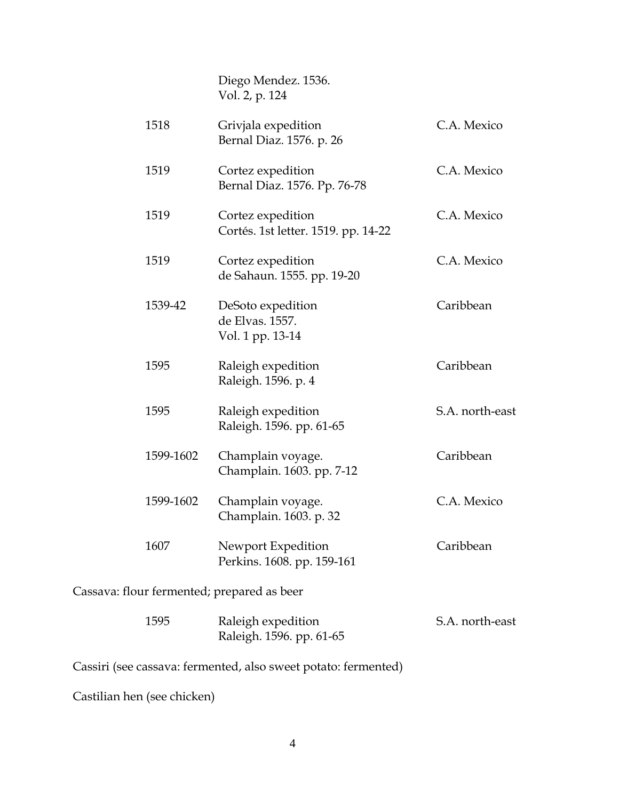|                                            | Diego Mendez. 1536.<br>Vol. 2, p. 124                    |                 |
|--------------------------------------------|----------------------------------------------------------|-----------------|
| 1518                                       | Grivjala expedition<br>Bernal Diaz. 1576. p. 26          | C.A. Mexico     |
| 1519                                       | Cortez expedition<br>Bernal Diaz. 1576. Pp. 76-78        | C.A. Mexico     |
| 1519                                       | Cortez expedition<br>Cortés. 1st letter. 1519. pp. 14-22 | C.A. Mexico     |
| 1519                                       | Cortez expedition<br>de Sahaun. 1555. pp. 19-20          | C.A. Mexico     |
| 1539-42                                    | DeSoto expedition<br>de Elvas. 1557.<br>Vol. 1 pp. 13-14 | Caribbean       |
| 1595                                       | Raleigh expedition<br>Raleigh. 1596. p. 4                | Caribbean       |
| 1595                                       | Raleigh expedition<br>Raleigh. 1596. pp. 61-65           | S.A. north-east |
| 1599-1602                                  | Champlain voyage.<br>Champlain. 1603. pp. 7-12           | Caribbean       |
| 1599-1602                                  | Champlain voyage.<br>Champlain. 1603. p. 32              | C.A. Mexico     |
| 1607                                       | Newport Expedition<br>Perkins. 1608. pp. 159-161         | Caribbean       |
| Cassava: flour fermented; prepared as beer |                                                          |                 |

| 1595 | Raleigh expedition       | S.A. north-east |
|------|--------------------------|-----------------|
|      | Raleigh. 1596. pp. 61-65 |                 |

Cassiri (see cassava: fermented, also sweet potato: fermented)

Castilian hen (see chicken)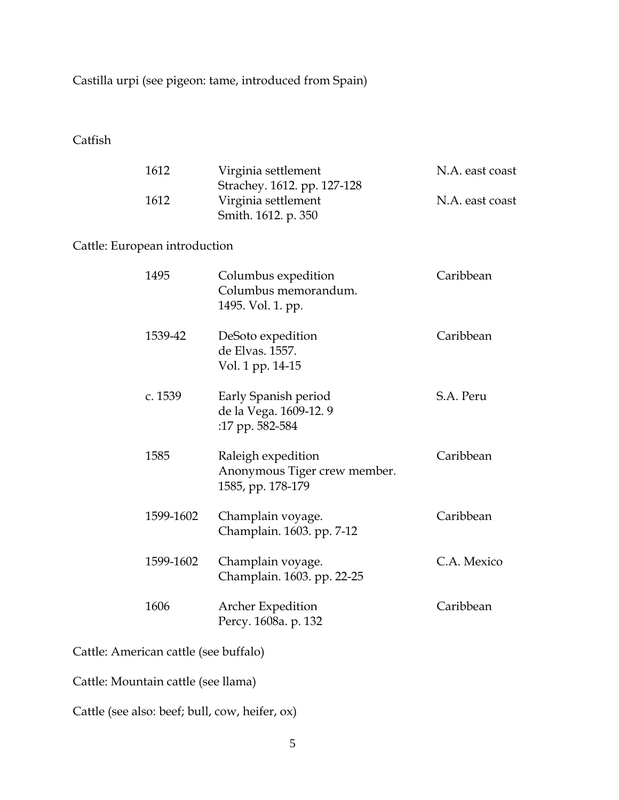Castilla urpi (see pigeon: tame, introduced from Spain)

Catfish

| 1612<br>1612                  |           | Virginia settlement<br>Strachey. 1612. pp. 127-128<br>Virginia settlement | N.A. east coast<br>N.A. east coast |
|-------------------------------|-----------|---------------------------------------------------------------------------|------------------------------------|
| Cattle: European introduction |           | Smith. 1612. p. 350                                                       |                                    |
| 1495                          |           | Columbus expedition<br>Columbus memorandum.<br>1495. Vol. 1. pp.          | Caribbean                          |
|                               | 1539-42   | DeSoto expedition<br>de Elvas. 1557.<br>Vol. 1 pp. 14-15                  | Caribbean                          |
|                               | c. 1539   | Early Spanish period<br>de la Vega. 1609-12.9<br>:17 pp. 582-584          | S.A. Peru                          |
| 1585                          |           | Raleigh expedition<br>Anonymous Tiger crew member.<br>1585, pp. 178-179   | Caribbean                          |
|                               | 1599-1602 | Champlain voyage.<br>Champlain. 1603. pp. 7-12                            | Caribbean                          |
|                               | 1599-1602 | Champlain voyage.<br>Champlain. 1603. pp. 22-25                           | C.A. Mexico                        |
| 1606                          |           | <b>Archer Expedition</b><br>Percy. 1608a. p. 132                          | Caribbean                          |

Cattle: American cattle (see buffalo)

Cattle: Mountain cattle (see llama)

Cattle (see also: beef; bull, cow, heifer, ox)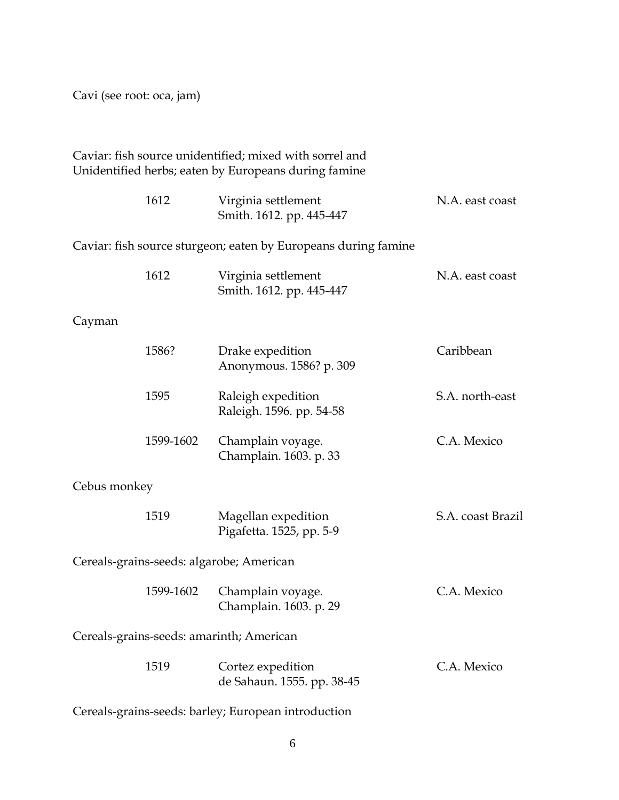Cavi (see root: oca, jam)

Caviar: fish source unidentified; mixed with sorrel and Unidentified herbs; eaten by Europeans during famine

|              | 1612      | Virginia settlement<br>Smith. 1612. pp. 445-447                | N.A. east coast   |
|--------------|-----------|----------------------------------------------------------------|-------------------|
|              |           | Caviar: fish source sturgeon; eaten by Europeans during famine |                   |
|              | 1612      | Virginia settlement<br>Smith. 1612. pp. 445-447                | N.A. east coast   |
| Cayman       |           |                                                                |                   |
|              | 1586?     | Drake expedition<br>Anonymous. 1586? p. 309                    | Caribbean         |
|              | 1595      | Raleigh expedition<br>Raleigh. 1596. pp. 54-58                 | S.A. north-east   |
|              | 1599-1602 | Champlain voyage.<br>Champlain. 1603. p. 33                    | C.A. Mexico       |
| Cebus monkey |           |                                                                |                   |
|              | 1519      | Magellan expedition<br>Pigafetta. 1525, pp. 5-9                | S.A. coast Brazil |
|              |           | Cereals-grains-seeds: algarobe; American                       |                   |
|              | 1599-1602 | Champlain voyage.<br>Champlain. 1603. p. 29                    | C.A. Mexico       |
|              |           | Cereals-grains-seeds: amarinth; American                       |                   |
|              | 1519      | Cortez expedition<br>de Sahaun. 1555. pp. 38-45                | C.A. Mexico       |
|              |           | Cereals-grains-seeds: barley; European introduction            |                   |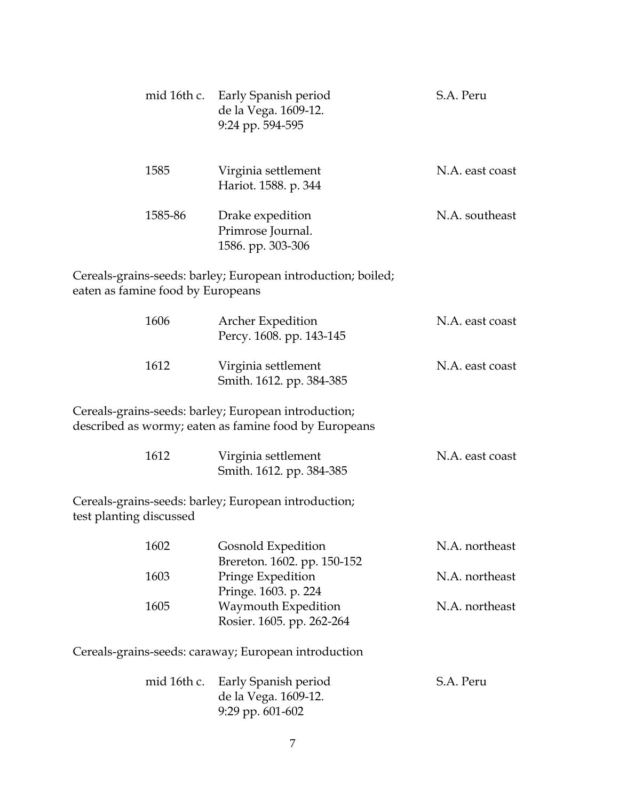| mid 16th c.                       | Early Spanish period<br>de la Vega. 1609-12.<br>9:24 pp. 594-595                                              | S.A. Peru       |
|-----------------------------------|---------------------------------------------------------------------------------------------------------------|-----------------|
| 1585                              | Virginia settlement<br>Hariot. 1588. p. 344                                                                   | N.A. east coast |
| 1585-86                           | Drake expedition<br>Primrose Journal.<br>1586. pp. 303-306                                                    | N.A. southeast  |
| eaten as famine food by Europeans | Cereals-grains-seeds: barley; European introduction; boiled;                                                  |                 |
| 1606                              | Archer Expedition<br>Percy. 1608. pp. 143-145                                                                 | N.A. east coast |
| 1612                              | Virginia settlement<br>Smith. 1612. pp. 384-385                                                               | N.A. east coast |
|                                   | Cereals-grains-seeds: barley; European introduction;<br>described as wormy; eaten as famine food by Europeans |                 |
| 1612                              | Virginia settlement<br>Smith. 1612. pp. 384-385                                                               | N.A. east coast |
| test planting discussed           | Cereals-grains-seeds: barley; European introduction;                                                          |                 |
| 1602                              | Gosnold Expedition<br>Brereton. 1602. pp. 150-152                                                             | N.A. northeast  |
| 1603                              | Pringe Expedition<br>Pringe. 1603. p. 224                                                                     | N.A. northeast  |
| 1605                              | Waymouth Expedition<br>Rosier. 1605. pp. 262-264                                                              | N.A. northeast  |
|                                   | Cereals-grains-seeds: caraway; European introduction                                                          |                 |
| mid 16th c.                       | Early Spanish period<br>de la Vega. 1609-12.<br>9:29 pp. 601-602                                              | S.A. Peru       |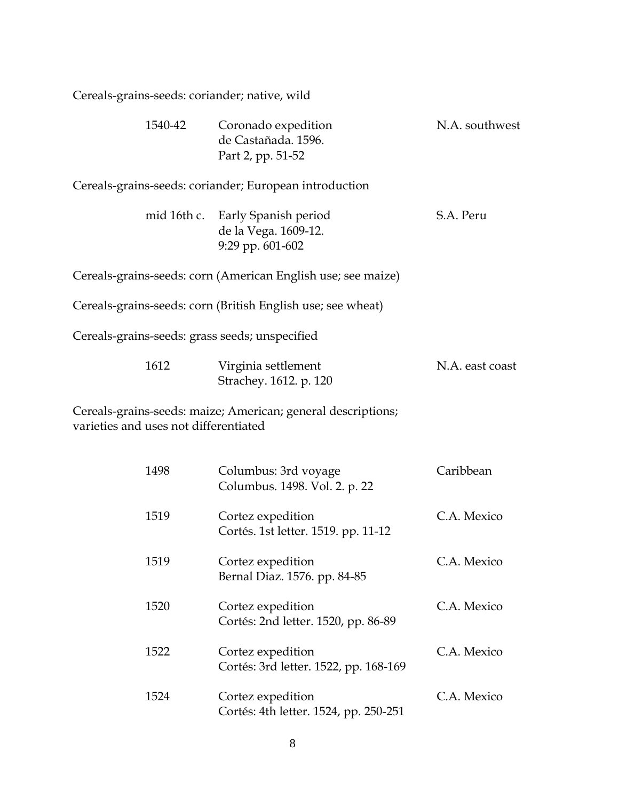| Cereals-grains-seeds: coriander; native, wild  |                                                                  |                 |
|------------------------------------------------|------------------------------------------------------------------|-----------------|
| 1540-42                                        | Coronado expedition<br>de Castañada. 1596.<br>Part 2, pp. 51-52  | N.A. southwest  |
|                                                | Cereals-grains-seeds: coriander; European introduction           |                 |
| mid 16th c.                                    | Early Spanish period<br>de la Vega. 1609-12.<br>9:29 pp. 601-602 | S.A. Peru       |
|                                                | Cereals-grains-seeds: corn (American English use; see maize)     |                 |
|                                                | Cereals-grains-seeds: corn (British English use; see wheat)      |                 |
| Cereals-grains-seeds: grass seeds; unspecified |                                                                  |                 |
| 1612                                           | Virginia settlement<br>Strachey. 1612. p. 120                    | N.A. east coast |
| varieties and uses not differentiated          | Cereals-grains-seeds: maize; American; general descriptions;     |                 |
| 1498                                           | Columbus: 3rd voyage<br>Columbus. 1498. Vol. 2. p. 22            | Caribbean       |
| 1519                                           | Cortez expedition<br>Cortés. 1st letter. 1519. pp. 11-12         | C.A. Mexico     |
| 1519                                           | Cortez expedition<br>Bernal Diaz. 1576. pp. 84-85                | C.A. Mexico     |
| 1520                                           | Cortez expedition<br>Cortés: 2nd letter. 1520, pp. 86-89         | C.A. Mexico     |
| 1522                                           | Cortez expedition<br>Cortés: 3rd letter. 1522, pp. 168-169       | C.A. Mexico     |
| 1524                                           | Cortez expedition<br>Cortés: 4th letter. 1524, pp. 250-251       | C.A. Mexico     |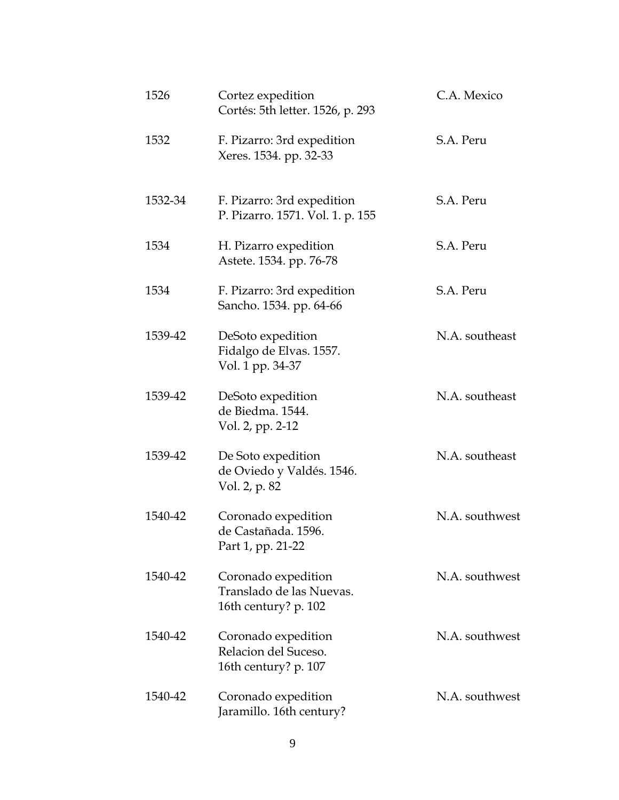| 1526    | Cortez expedition<br>Cortés: 5th letter. 1526, p. 293                   | C.A. Mexico    |
|---------|-------------------------------------------------------------------------|----------------|
| 1532    | F. Pizarro: 3rd expedition<br>Xeres. 1534. pp. 32-33                    | S.A. Peru      |
| 1532-34 | F. Pizarro: 3rd expedition<br>P. Pizarro. 1571. Vol. 1. p. 155          | S.A. Peru      |
| 1534    | H. Pizarro expedition<br>Astete. 1534. pp. 76-78                        | S.A. Peru      |
| 1534    | F. Pizarro: 3rd expedition<br>Sancho. 1534. pp. 64-66                   | S.A. Peru      |
| 1539-42 | DeSoto expedition<br>Fidalgo de Elvas. 1557.<br>Vol. 1 pp. 34-37        | N.A. southeast |
| 1539-42 | DeSoto expedition<br>de Biedma. 1544.<br>Vol. 2, pp. 2-12               | N.A. southeast |
| 1539-42 | De Soto expedition<br>de Oviedo y Valdés. 1546.<br>Vol. 2, p. 82        | N.A. southeast |
| 1540-42 | Coronado expedition<br>de Castañada. 1596.<br>Part 1, pp. 21-22         | N.A. southwest |
| 1540-42 | Coronado expedition<br>Translado de las Nuevas.<br>16th century? p. 102 | N.A. southwest |
| 1540-42 | Coronado expedition<br>Relacion del Suceso.<br>16th century? p. 107     | N.A. southwest |
| 1540-42 | Coronado expedition<br>Jaramillo. 16th century?                         | N.A. southwest |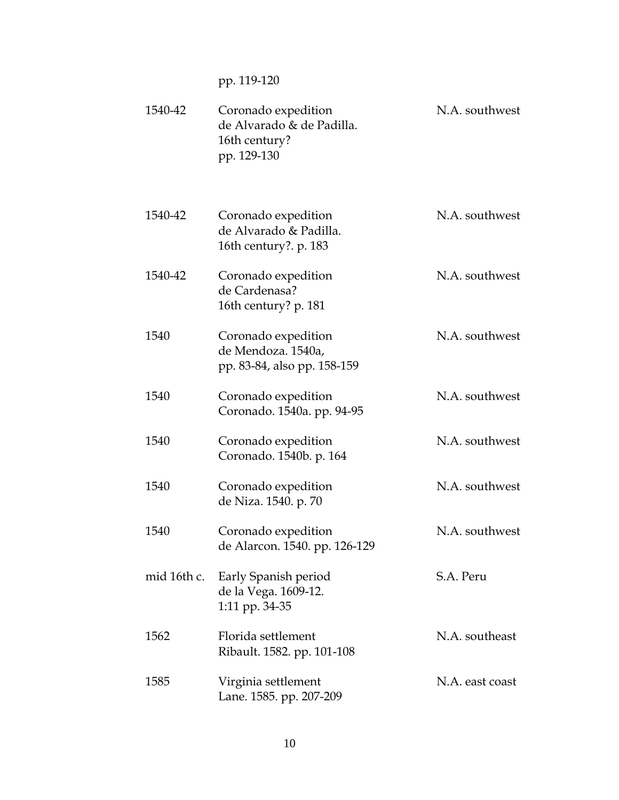pp. 119-120

| 1540-42     | Coronado expedition<br>de Alvarado & de Padilla.<br>16th century?<br>pp. 129-130 | N.A. southwest  |
|-------------|----------------------------------------------------------------------------------|-----------------|
| 1540-42     | Coronado expedition<br>de Alvarado & Padilla.<br>16th century?. p. 183           | N.A. southwest  |
| 1540-42     | Coronado expedition<br>de Cardenasa?<br>16th century? p. 181                     | N.A. southwest  |
| 1540        | Coronado expedition<br>de Mendoza. 1540a,<br>pp. 83-84, also pp. 158-159         | N.A. southwest  |
| 1540        | Coronado expedition<br>Coronado. 1540a. pp. 94-95                                | N.A. southwest  |
| 1540        | Coronado expedition<br>Coronado. 1540b. p. 164                                   | N.A. southwest  |
| 1540        | Coronado expedition<br>de Niza. 1540. p. 70                                      | N.A. southwest  |
| 1540        | Coronado expedition<br>de Alarcon. 1540. pp. 126-129                             | N.A. southwest  |
| mid 16th c. | Early Spanish period<br>de la Vega. 1609-12.<br>1:11 pp. 34-35                   | S.A. Peru       |
| 1562        | Florida settlement<br>Ribault. 1582. pp. 101-108                                 | N.A. southeast  |
| 1585        | Virginia settlement<br>Lane. 1585. pp. 207-209                                   | N.A. east coast |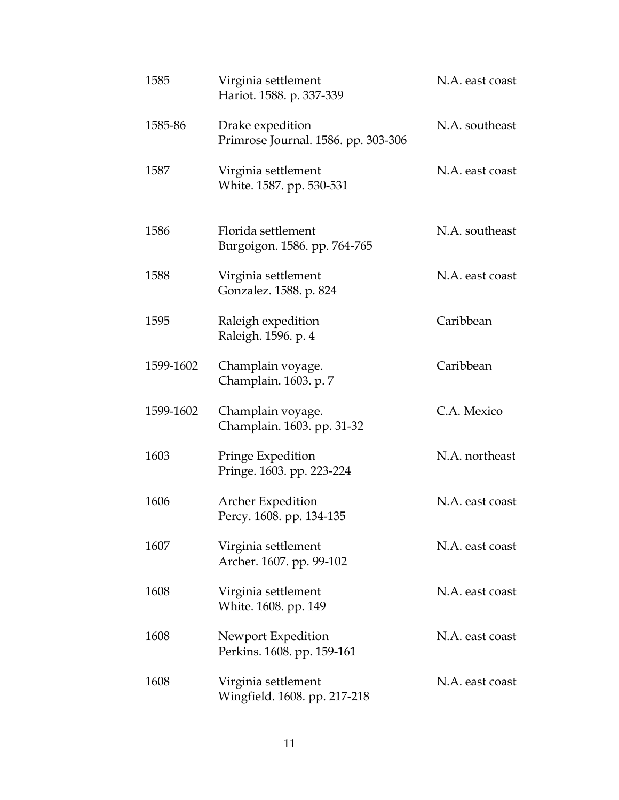| 1585      | Virginia settlement<br>Hariot. 1588. p. 337-339         | N.A. east coast |
|-----------|---------------------------------------------------------|-----------------|
| 1585-86   | Drake expedition<br>Primrose Journal. 1586. pp. 303-306 | N.A. southeast  |
| 1587      | Virginia settlement<br>White. 1587. pp. 530-531         | N.A. east coast |
| 1586      | Florida settlement<br>Burgoigon. 1586. pp. 764-765      | N.A. southeast  |
| 1588      | Virginia settlement<br>Gonzalez. 1588. p. 824           | N.A. east coast |
| 1595      | Raleigh expedition<br>Raleigh. 1596. p. 4               | Caribbean       |
| 1599-1602 | Champlain voyage.<br>Champlain. 1603. p. 7              | Caribbean       |
| 1599-1602 | Champlain voyage.<br>Champlain. 1603. pp. 31-32         | C.A. Mexico     |
| 1603      | Pringe Expedition<br>Pringe. 1603. pp. 223-224          | N.A. northeast  |
| 1606      | Archer Expedition<br>Percy. 1608. pp. 134-135           | N.A. east coast |
| 1607      | Virginia settlement<br>Archer. 1607. pp. 99-102         | N.A. east coast |
| 1608      | Virginia settlement<br>White. 1608. pp. 149             | N.A. east coast |
| 1608      | Newport Expedition<br>Perkins. 1608. pp. 159-161        | N.A. east coast |
| 1608      | Virginia settlement<br>Wingfield. 1608. pp. 217-218     | N.A. east coast |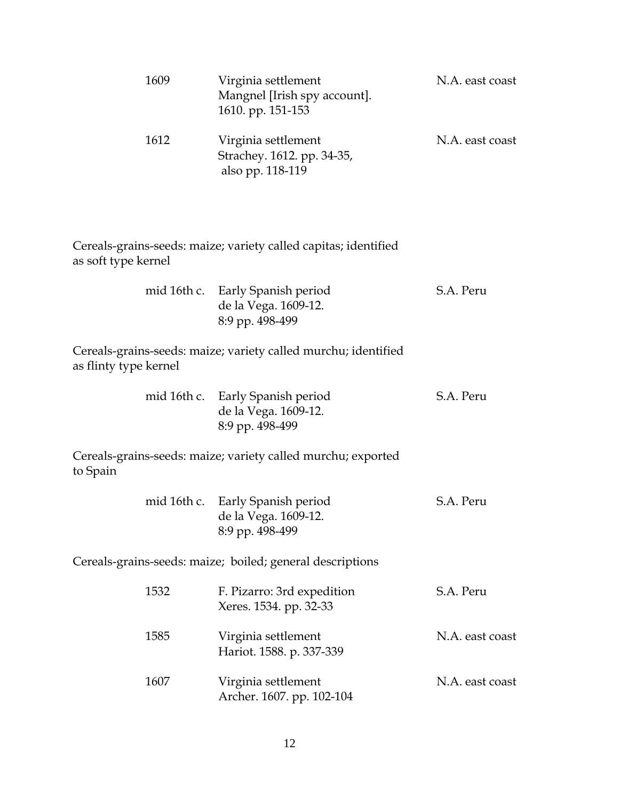| 1609                  | Virginia settlement<br>Mangnel [Irish spy account].<br>1610. pp. 151-153    | N.A. east coast |
|-----------------------|-----------------------------------------------------------------------------|-----------------|
| 1612                  | Virginia settlement<br>Strachey. 1612. pp. 34-35,<br>also pp. 118-119       | N.A. east coast |
| as soft type kernel   | Cereals-grains-seeds: maize; variety called capitas; identified             |                 |
|                       | mid 16th c. Early Spanish period<br>de la Vega. 1609-12.<br>8:9 pp. 498-499 | S.A. Peru       |
| as flinty type kernel | Cereals-grains-seeds: maize; variety called murchu; identified              |                 |
|                       | mid 16th c. Early Spanish period<br>de la Vega. 1609-12.<br>8:9 pp. 498-499 | S.A. Peru       |
| to Spain              | Cereals-grains-seeds: maize; variety called murchu; exported                |                 |
| mid 16th c.           | Early Spanish period<br>de la Vega. 1609-12.<br>8:9 pp. 498-499             | S.A. Peru       |
|                       | Cereals-grains-seeds: maize; boiled; general descriptions                   |                 |
| 1532                  | F. Pizarro: 3rd expedition<br>Xeres. 1534. pp. 32-33                        | S.A. Peru       |
| 1585                  | Virginia settlement<br>Hariot. 1588. p. 337-339                             | N.A. east coast |
| 1607                  | Virginia settlement<br>Archer. 1607. pp. 102-104                            | N.A. east coast |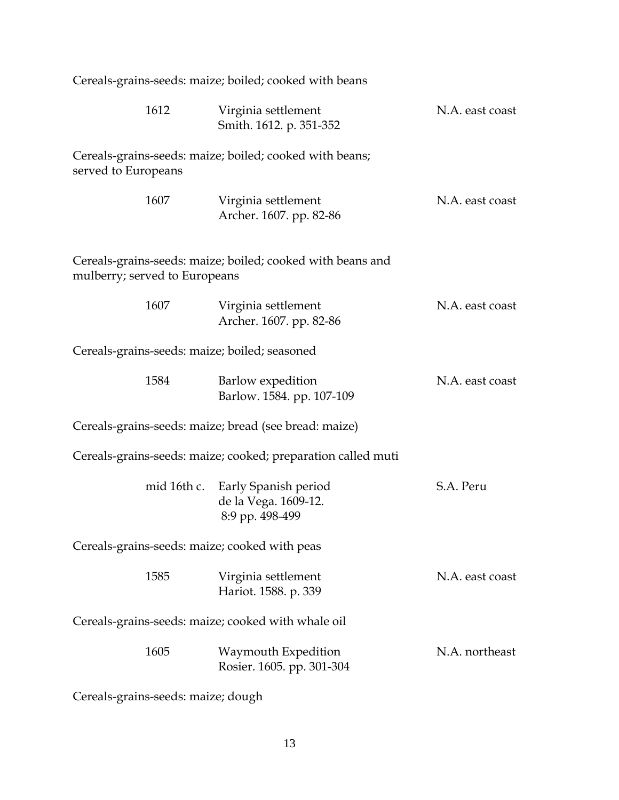| Cereals-grains-seeds: maize; boiled; cooked with beans |                                                                             |                 |  |
|--------------------------------------------------------|-----------------------------------------------------------------------------|-----------------|--|
| 1612                                                   | Virginia settlement<br>Smith. 1612. p. 351-352                              | N.A. east coast |  |
| served to Europeans                                    | Cereals-grains-seeds: maize; boiled; cooked with beans;                     |                 |  |
| 1607                                                   | Virginia settlement<br>Archer. 1607. pp. 82-86                              | N.A. east coast |  |
| mulberry; served to Europeans                          | Cereals-grains-seeds: maize; boiled; cooked with beans and                  |                 |  |
| 1607                                                   | Virginia settlement<br>Archer. 1607. pp. 82-86                              | N.A. east coast |  |
| Cereals-grains-seeds: maize; boiled; seasoned          |                                                                             |                 |  |
| 1584                                                   | Barlow expedition<br>Barlow. 1584. pp. 107-109                              | N.A. east coast |  |
|                                                        | Cereals-grains-seeds: maize; bread (see bread: maize)                       |                 |  |
|                                                        | Cereals-grains-seeds: maize; cooked; preparation called muti                |                 |  |
|                                                        | mid 16th c. Early Spanish period<br>de la Vega. 1609-12.<br>8:9 pp. 498-499 | S.A. Peru       |  |
| Cereals-grains-seeds: maize; cooked with peas          |                                                                             |                 |  |
| 1585                                                   | Virginia settlement<br>Hariot. 1588. p. 339                                 | N.A. east coast |  |
| Cereals-grains-seeds: maize; cooked with whale oil     |                                                                             |                 |  |
| 1605                                                   | <b>Waymouth Expedition</b><br>Rosier. 1605. pp. 301-304                     | N.A. northeast  |  |
| Cereals-grains-seeds: maize; dough                     |                                                                             |                 |  |

13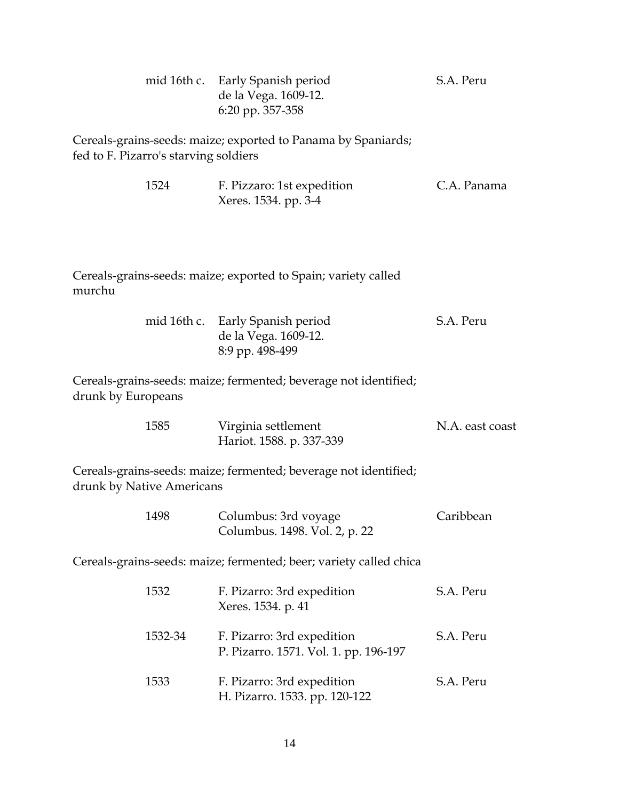|                                       |         | mid 16th c. Early Spanish period<br>de la Vega. 1609-12.<br>6:20 pp. 357-358 | S.A. Peru       |
|---------------------------------------|---------|------------------------------------------------------------------------------|-----------------|
| fed to F. Pizarro's starving soldiers |         | Cereals-grains-seeds: maize; exported to Panama by Spaniards;                |                 |
|                                       | 1524    | F. Pizzaro: 1st expedition<br>Xeres. 1534. pp. 3-4                           | C.A. Panama     |
| murchu                                |         | Cereals-grains-seeds: maize; exported to Spain; variety called               |                 |
|                                       |         | mid 16th c. Early Spanish period<br>de la Vega. 1609-12.<br>8:9 pp. 498-499  | S.A. Peru       |
| drunk by Europeans                    |         | Cereals-grains-seeds: maize; fermented; beverage not identified;             |                 |
|                                       | 1585    | Virginia settlement<br>Hariot. 1588. p. 337-339                              | N.A. east coast |
| drunk by Native Americans             |         | Cereals-grains-seeds: maize; fermented; beverage not identified;             |                 |
|                                       | 1498    | Columbus: 3rd voyage<br>Columbus. 1498. Vol. 2, p. 22                        | Caribbean       |
|                                       |         | Cereals-grains-seeds: maize; fermented; beer; variety called chica           |                 |
|                                       | 1532    | F. Pizarro: 3rd expedition<br>Xeres. 1534. p. 41                             | S.A. Peru       |
|                                       | 1532-34 | F. Pizarro: 3rd expedition<br>P. Pizarro. 1571. Vol. 1. pp. 196-197          | S.A. Peru       |
|                                       | 1533    | F. Pizarro: 3rd expedition<br>H. Pizarro. 1533. pp. 120-122                  | S.A. Peru       |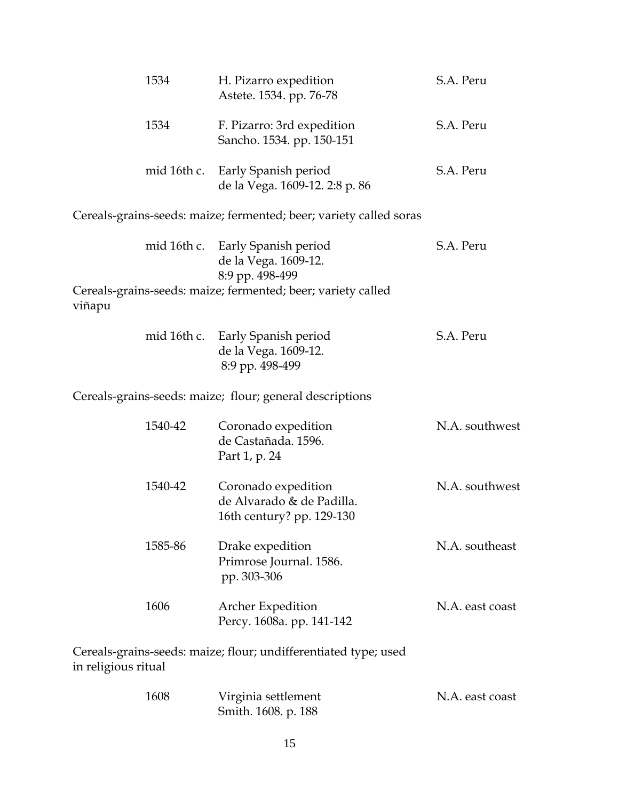|                     | 1534        | H. Pizarro expedition<br>Astete. 1534. pp. 76-78                              | S.A. Peru       |
|---------------------|-------------|-------------------------------------------------------------------------------|-----------------|
|                     | 1534        | F. Pizarro: 3rd expedition<br>Sancho. 1534. pp. 150-151                       | S.A. Peru       |
|                     | mid 16th c. | Early Spanish period<br>de la Vega. 1609-12. 2:8 p. 86                        | S.A. Peru       |
|                     |             | Cereals-grains-seeds: maize; fermented; beer; variety called soras            |                 |
|                     |             | mid 16th c. Early Spanish period<br>de la Vega. 1609-12.<br>8:9 pp. 498-499   | S.A. Peru       |
| viñapu              |             | Cereals-grains-seeds: maize; fermented; beer; variety called                  |                 |
|                     | mid 16th c. | Early Spanish period<br>de la Vega. 1609-12.<br>8:9 pp. 498-499               | S.A. Peru       |
|                     |             | Cereals-grains-seeds: maize; flour; general descriptions                      |                 |
|                     | 1540-42     | Coronado expedition<br>de Castañada. 1596.<br>Part 1, p. 24                   | N.A. southwest  |
|                     | 1540-42     | Coronado expedition<br>de Alvarado & de Padilla.<br>16th century? pp. 129-130 | N.A. southwest  |
|                     | 1585-86     | Drake expedition<br>Primrose Journal. 1586.<br>pp. 303-306                    | N.A. southeast  |
|                     | 1606        | Archer Expedition<br>Percy. 1608a. pp. 141-142                                | N.A. east coast |
| in religious ritual |             | Cereals-grains-seeds: maize; flour; undifferentiated type; used               |                 |
|                     | 1608        | Virginia settlement                                                           | N.A. east coast |

| Smith. 1608. p. 188 |
|---------------------|
|                     |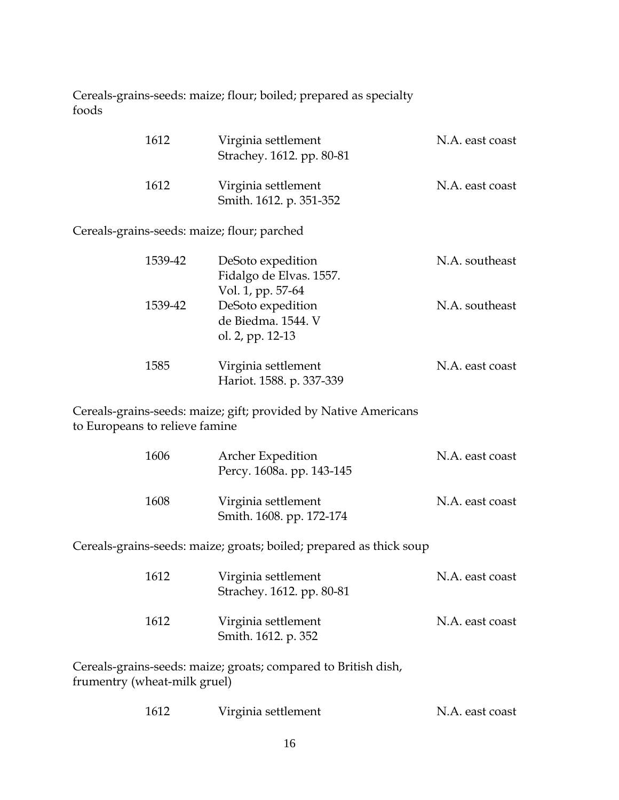Cereals-grains-seeds: maize; flour; boiled; prepared as specialty foods

| 1612 | Virginia settlement<br>Strachey. 1612. pp. 80-81 | N.A. east coast |
|------|--------------------------------------------------|-----------------|
| 1612 | Virginia settlement<br>Smith. 1612. p. 351-352   | N.A. east coast |

Cereals-grains-seeds: maize; flour; parched

| 1539-42 | DeSoto expedition        | N.A. southeast  |
|---------|--------------------------|-----------------|
|         | Fidalgo de Elvas. 1557.  |                 |
|         | Vol. 1, pp. 57-64        |                 |
| 1539-42 | DeSoto expedition        | N.A. southeast  |
|         | de Biedma. 1544. V       |                 |
|         | ol. 2, pp. 12-13         |                 |
| 1585    | Virginia settlement      | N.A. east coast |
|         | Hariot. 1588. p. 337-339 |                 |

Cereals-grains-seeds: maize; gift; provided by Native Americans to Europeans to relieve famine

| 1606 | <b>Archer Expedition</b><br>Percy. 1608a. pp. 143-145 | N.A. east coast |
|------|-------------------------------------------------------|-----------------|
| 1608 | Virginia settlement<br>Smith. 1608. pp. 172-174       | N.A. east coast |

Cereals-grains-seeds: maize; groats; boiled; prepared as thick soup

| 1612 | Virginia settlement<br>Strachey. 1612. pp. 80-81 | N.A. east coast |
|------|--------------------------------------------------|-----------------|
| 1612 | Virginia settlement<br>Smith. 1612. p. 352       | N.A. east coast |

Cereals-grains-seeds: maize; groats; compared to British dish, frumentry (wheat-milk gruel)

| 1612 | Virginia settlement | N.A. east coast |
|------|---------------------|-----------------|
|------|---------------------|-----------------|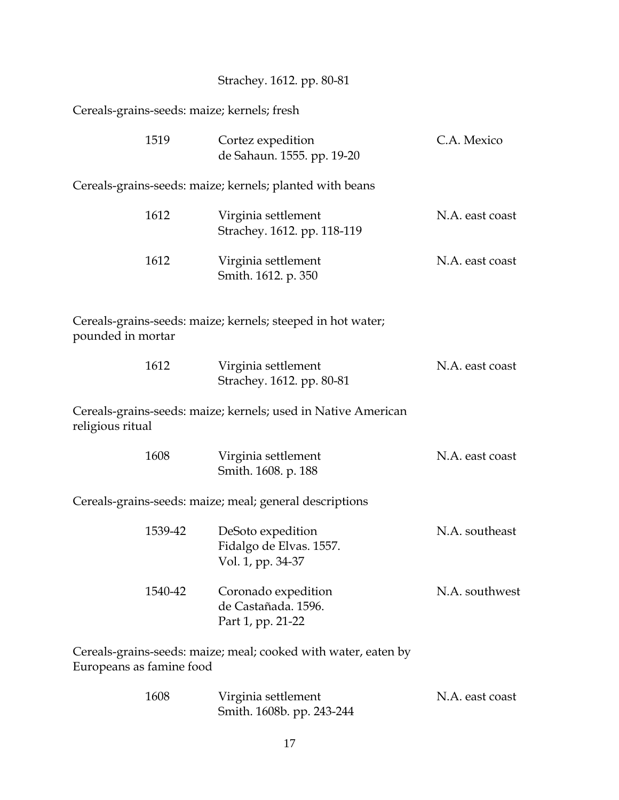| Strachey. 1612. pp. 80-81 |
|---------------------------|
|---------------------------|

Cereals-grains-seeds: maize; kernels; fresh

| 1519                     | Cortez expedition<br>de Sahaun. 1555. pp. 19-20                   | C.A. Mexico     |
|--------------------------|-------------------------------------------------------------------|-----------------|
|                          | Cereals-grains-seeds: maize; kernels; planted with beans          |                 |
| 1612                     | Virginia settlement<br>Strachey. 1612. pp. 118-119                | N.A. east coast |
| 1612                     | Virginia settlement<br>Smith. 1612. p. 350                        | N.A. east coast |
| pounded in mortar        | Cereals-grains-seeds: maize; kernels; steeped in hot water;       |                 |
| 1612                     | Virginia settlement<br>Strachey. 1612. pp. 80-81                  | N.A. east coast |
| religious ritual         | Cereals-grains-seeds: maize; kernels; used in Native American     |                 |
| 1608                     | Virginia settlement<br>Smith. 1608. p. 188                        | N.A. east coast |
|                          | Cereals-grains-seeds: maize; meal; general descriptions           |                 |
| 1539-42                  | DeSoto expedition<br>Fidalgo de Elvas. 1557.<br>Vol. 1, pp. 34-37 | N.A. southeast  |
| 1540-42                  | Coronado expedition<br>de Castañada. 1596.<br>Part 1, pp. 21-22   | N.A. southwest  |
| Europeans as famine food | Cereals-grains-seeds: maize; meal; cooked with water, eaten by    |                 |

| 1608 | Virginia settlement       | N.A. east coast |
|------|---------------------------|-----------------|
|      | Smith. 1608b. pp. 243-244 |                 |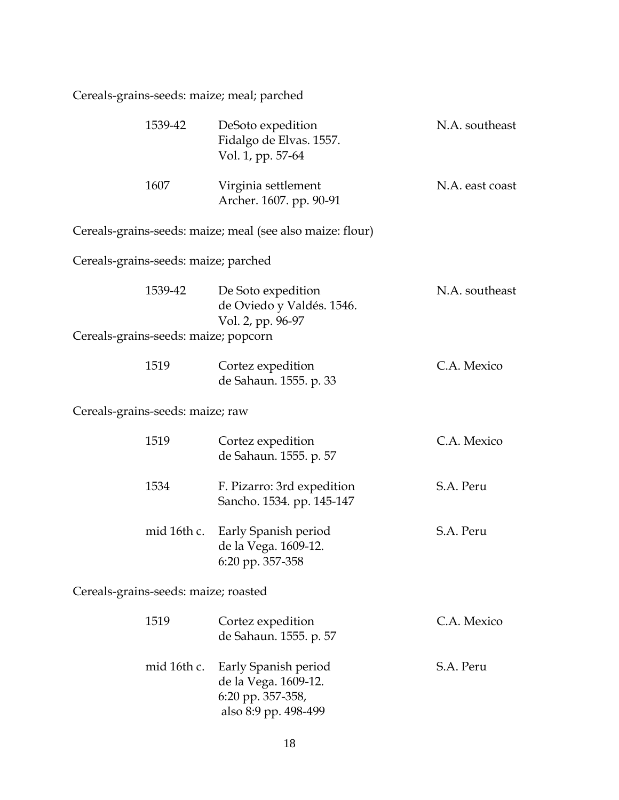Cereals-grains-seeds: maize; meal; parched

| 1539-42                              | DeSoto expedition<br>Fidalgo de Elvas. 1557.<br>Vol. 1, pp. 57-64                         | N.A. southeast  |
|--------------------------------------|-------------------------------------------------------------------------------------------|-----------------|
| 1607                                 | Virginia settlement<br>Archer. 1607. pp. 90-91                                            | N.A. east coast |
|                                      | Cereals-grains-seeds: maize; meal (see also maize: flour)                                 |                 |
| Cereals-grains-seeds: maize; parched |                                                                                           |                 |
| 1539-42                              | De Soto expedition<br>de Oviedo y Valdés. 1546.<br>Vol. 2, pp. 96-97                      | N.A. southeast  |
| Cereals-grains-seeds: maize; popcorn |                                                                                           |                 |
| 1519                                 | Cortez expedition<br>de Sahaun. 1555. p. 33                                               | C.A. Mexico     |
| Cereals-grains-seeds: maize; raw     |                                                                                           |                 |
| 1519                                 | Cortez expedition<br>de Sahaun. 1555. p. 57                                               | C.A. Mexico     |
| 1534                                 | F. Pizarro: 3rd expedition<br>Sancho. 1534. pp. 145-147                                   | S.A. Peru       |
| mid 16th c.                          | Early Spanish period<br>de la Vega. 1609-12.<br>6:20 pp. 357-358                          | S.A. Peru       |
| Cereals-grains-seeds: maize; roasted |                                                                                           |                 |
| 1519                                 | Cortez expedition<br>de Sahaun. 1555. p. 57                                               | C.A. Mexico     |
| mid 16th c.                          | Early Spanish period<br>de la Vega. 1609-12.<br>6:20 pp. 357-358,<br>also 8:9 pp. 498-499 | S.A. Peru       |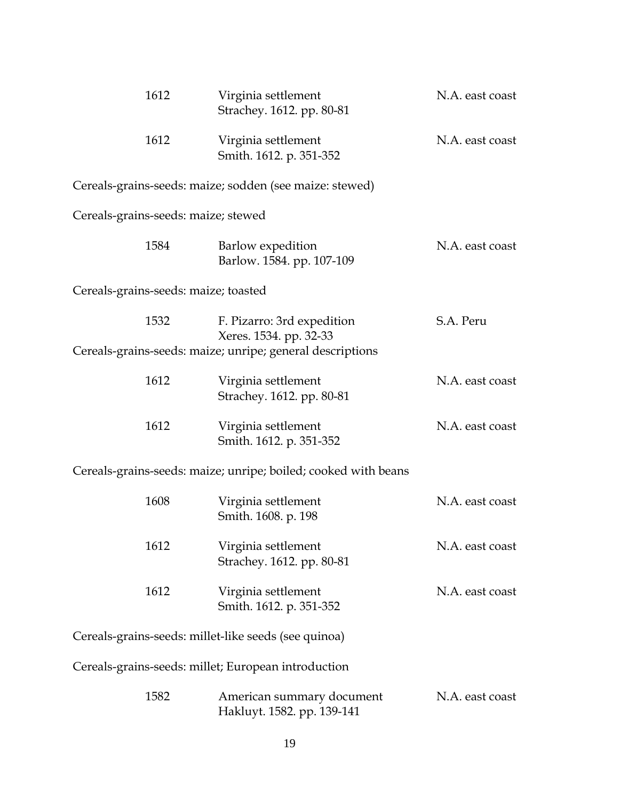| 1612                                                 | Virginia settlement<br>Strachey. 1612. pp. 80-81               | N.A. east coast |
|------------------------------------------------------|----------------------------------------------------------------|-----------------|
| 1612                                                 | Virginia settlement<br>Smith. 1612. p. 351-352                 | N.A. east coast |
|                                                      | Cereals-grains-seeds: maize; sodden (see maize: stewed)        |                 |
| Cereals-grains-seeds: maize; stewed                  |                                                                |                 |
| 1584                                                 | Barlow expedition<br>Barlow. 1584. pp. 107-109                 | N.A. east coast |
| Cereals-grains-seeds: maize; toasted                 |                                                                |                 |
| 1532                                                 | F. Pizarro: 3rd expedition<br>Xeres. 1534. pp. 32-33           | S.A. Peru       |
|                                                      | Cereals-grains-seeds: maize; unripe; general descriptions      |                 |
| 1612                                                 | Virginia settlement<br>Strachey. 1612. pp. 80-81               | N.A. east coast |
| 1612                                                 | Virginia settlement<br>Smith. 1612. p. 351-352                 | N.A. east coast |
|                                                      | Cereals-grains-seeds: maize; unripe; boiled; cooked with beans |                 |
| 1608                                                 | Virginia settlement<br>Smith. 1608. p. 198                     | N.A. east coast |
| 1612                                                 | Virginia settlement<br>Strachey. 1612. pp. 80-81               | N.A. east coast |
| 1612                                                 | Virginia settlement<br>Smith. 1612. p. 351-352                 | N.A. east coast |
| Cereals-grains-seeds: millet-like seeds (see quinoa) |                                                                |                 |
| Cereals-grains-seeds: millet; European introduction  |                                                                |                 |
| 1582                                                 | American summary document<br>Hakluyt. 1582. pp. 139-141        | N.A. east coast |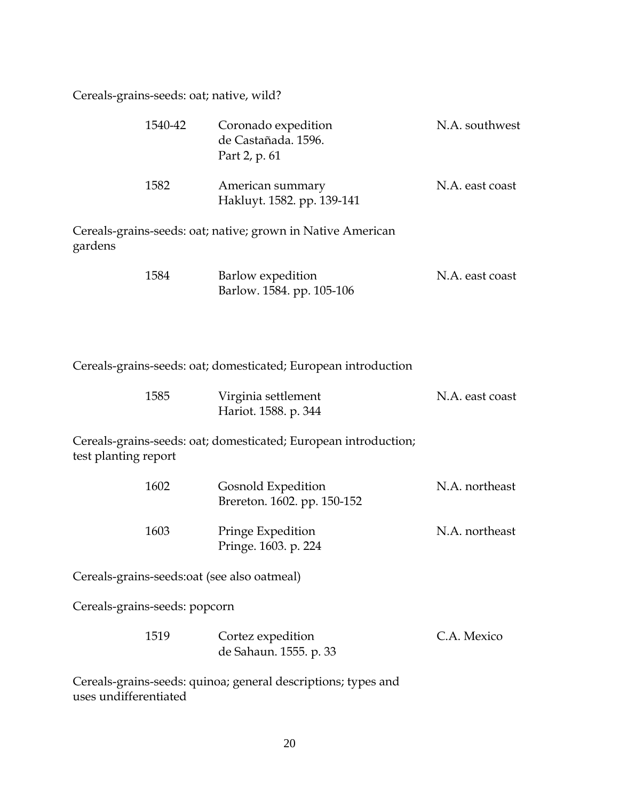Cereals-grains-seeds: oat; native, wild?

|         | 1540-42 | Coronado expedition<br>de Castañada. 1596.<br>Part 2, p. 61 | N.A. southwest  |
|---------|---------|-------------------------------------------------------------|-----------------|
|         | 1582    | American summary<br>Hakluyt. 1582. pp. 139-141              | N.A. east coast |
| gardens |         | Cereals-grains-seeds: oat; native; grown in Native American |                 |
|         | 1584    | Barlow expedition<br>Barlow. 1584. pp. 105-106              | N.A. east coast |

Cereals-grains-seeds: oat; domesticated; European introduction

| 1585 | Virginia settlement  | N.A. east coast |
|------|----------------------|-----------------|
|      | Hariot. 1588. p. 344 |                 |

Cereals-grains-seeds: oat; domesticated; European introduction; test planting report

| 1602 | Gosnold Expedition<br>Brereton. 1602. pp. 150-152 | N.A. northeast |
|------|---------------------------------------------------|----------------|
| 1603 | Pringe Expedition<br>Pringe. 1603. p. 224         | N.A. northeast |

Cereals-grains-seeds:oat (see also oatmeal)

Cereals-grains-seeds: popcorn

| 1519 | Cortez expedition      | C.A. Mexico |
|------|------------------------|-------------|
|      | de Sahaun. 1555. p. 33 |             |

Cereals-grains-seeds: quinoa; general descriptions; types and uses undifferentiated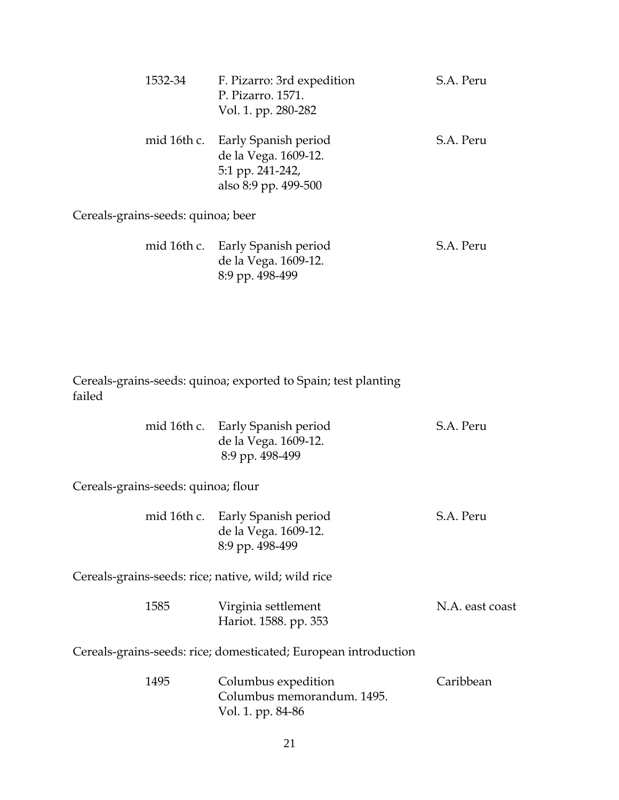| 1532-34 | F. Pizarro: 3rd expedition<br>P. Pizarro. 1571.<br>Vol. 1. pp. 280-282                               | S.A. Peru |
|---------|------------------------------------------------------------------------------------------------------|-----------|
|         | mid 16th c. Early Spanish period<br>de la Vega. 1609-12.<br>5:1 pp. 241-242,<br>also 8:9 pp. 499-500 | S.A. Peru |

Cereals-grains-seeds: quinoa; beer

| mid 16th c. Early Spanish period | S.A. Peru |
|----------------------------------|-----------|
| de la Vega. 1609-12.             |           |
| 8:9 pp. 498-499                  |           |

Cereals-grains-seeds: quinoa; exported to Spain; test planting failed

|  | mid 16th c. Early Spanish period | S.A. Peru |
|--|----------------------------------|-----------|
|  | de la Vega. 1609-12.             |           |
|  | 8:9 pp. 498-499                  |           |

Cereals-grains-seeds: quinoa; flour

| mid 16th c. Early Spanish period | S.A. Peru |
|----------------------------------|-----------|
| de la Vega. 1609-12.             |           |
| 8:9 pp. 498-499                  |           |

Cereals-grains-seeds: rice; native, wild; wild rice

| 1585 | Virginia settlement   | N.A. east coast |
|------|-----------------------|-----------------|
|      | Hariot. 1588. pp. 353 |                 |

Cereals-grains-seeds: rice; domesticated; European introduction

| 1495 | Columbus expedition        | Caribbean |
|------|----------------------------|-----------|
|      | Columbus memorandum. 1495. |           |
|      | Vol. 1. pp. 84-86          |           |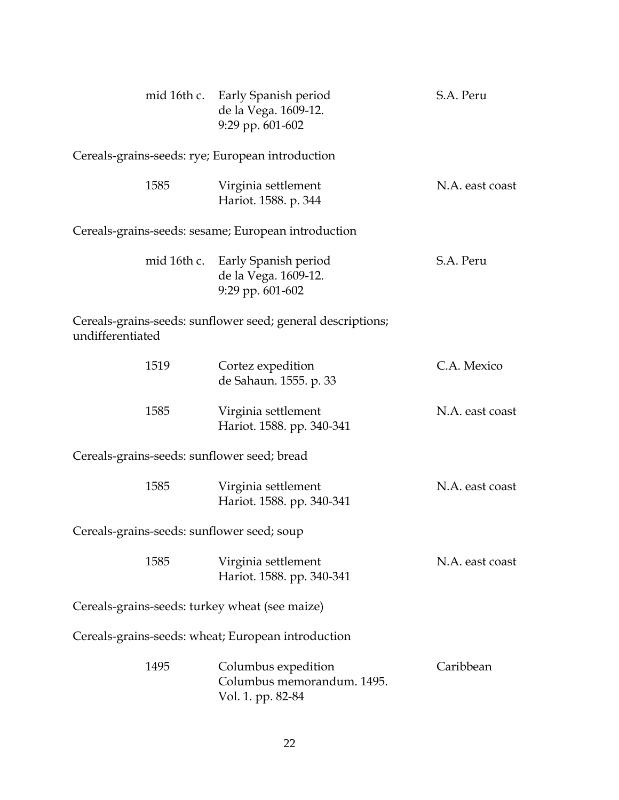|                                                  | mid 16th c. Early Spanish period<br>de la Vega. 1609-12.<br>9:29 pp. 601-602 | S.A. Peru       |
|--------------------------------------------------|------------------------------------------------------------------------------|-----------------|
| Cereals-grains-seeds: rye; European introduction |                                                                              |                 |
| 1585                                             | Virginia settlement<br>Hariot. 1588. p. 344                                  | N.A. east coast |
|                                                  | Cereals-grains-seeds: sesame; European introduction                          |                 |
| mid 16th c.                                      | Early Spanish period<br>de la Vega. 1609-12.<br>9:29 pp. 601-602             | S.A. Peru       |
| undifferentiated                                 | Cereals-grains-seeds: sunflower seed; general descriptions;                  |                 |
| 1519                                             | Cortez expedition<br>de Sahaun. 1555. p. 33                                  | C.A. Mexico     |
| 1585                                             | Virginia settlement<br>Hariot. 1588. pp. 340-341                             | N.A. east coast |
| Cereals-grains-seeds: sunflower seed; bread      |                                                                              |                 |
| 1585                                             | Virginia settlement<br>Hariot. 1588. pp. 340-341                             | N.A. east coast |
| Cereals-grains-seeds: sunflower seed; soup       |                                                                              |                 |
| 1585                                             | Virginia settlement<br>Hariot. 1588. pp. 340-341                             | N.A. east coast |
| Cereals-grains-seeds: turkey wheat (see maize)   |                                                                              |                 |
|                                                  | Cereals-grains-seeds: wheat; European introduction                           |                 |
| 1495                                             | Columbus expedition<br>Columbus memorandum. 1495.<br>Vol. 1. pp. 82-84       | Caribbean       |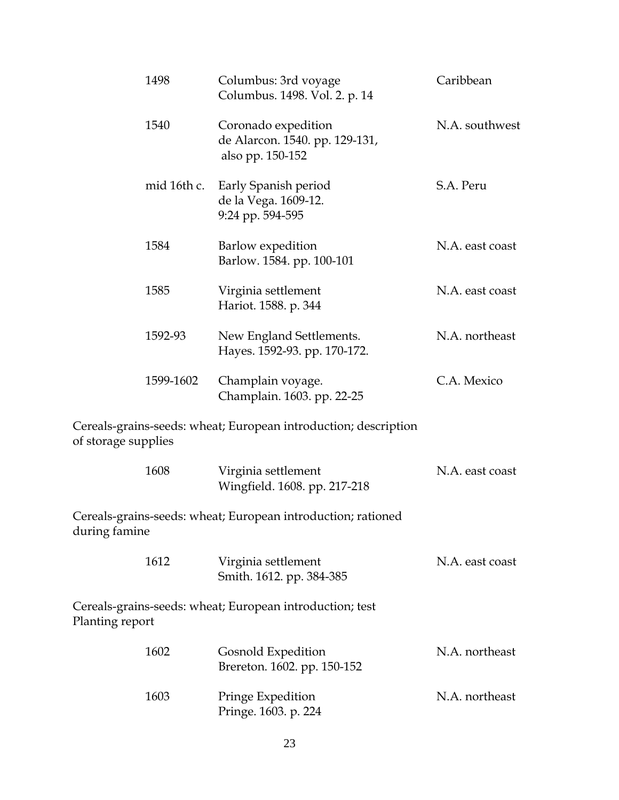| 1498                | Columbus: 3rd voyage<br>Columbus. 1498. Vol. 2. p. 14                     | Caribbean       |
|---------------------|---------------------------------------------------------------------------|-----------------|
| 1540                | Coronado expedition<br>de Alarcon. 1540. pp. 129-131,<br>also pp. 150-152 | N.A. southwest  |
| mid 16th c.         | Early Spanish period<br>de la Vega. 1609-12.<br>9:24 pp. 594-595          | S.A. Peru       |
| 1584                | Barlow expedition<br>Barlow. 1584. pp. 100-101                            | N.A. east coast |
| 1585                | Virginia settlement<br>Hariot. 1588. p. 344                               | N.A. east coast |
| 1592-93             | New England Settlements.<br>Hayes. 1592-93. pp. 170-172.                  | N.A. northeast  |
| 1599-1602           | Champlain voyage.<br>Champlain. 1603. pp. 22-25                           | C.A. Mexico     |
| of storage supplies | Cereals-grains-seeds: wheat; European introduction; description           |                 |
| 1608                | Virginia settlement<br>Wingfield. 1608. pp. 217-218                       | N.A. east coast |
| during famine       | Cereals-grains-seeds: wheat; European introduction; rationed              |                 |
| 1612                | Virginia settlement<br>Smith. 1612. pp. 384-385                           | N.A. east coast |
| Planting report     | Cereals-grains-seeds: wheat; European introduction; test                  |                 |
| 1602                | Gosnold Expedition<br>Brereton. 1602. pp. 150-152                         | N.A. northeast  |
| 1603                | Pringe Expedition<br>Pringe. 1603. p. 224                                 | N.A. northeast  |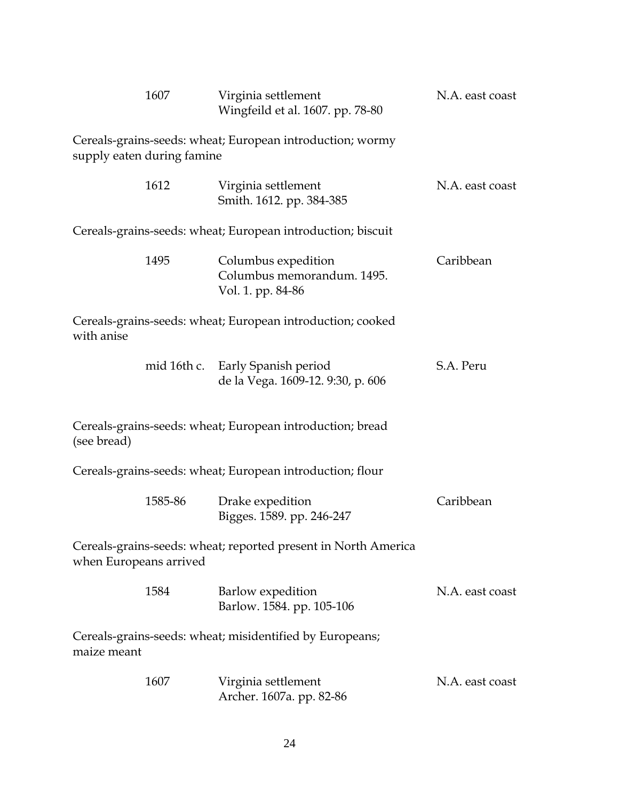|                        | 1607                       | Virginia settlement<br>Wingfeild et al. 1607. pp. 78-80                | N.A. east coast |
|------------------------|----------------------------|------------------------------------------------------------------------|-----------------|
|                        | supply eaten during famine | Cereals-grains-seeds: wheat; European introduction; wormy              |                 |
|                        | 1612                       | Virginia settlement<br>Smith. 1612. pp. 384-385                        | N.A. east coast |
|                        |                            | Cereals-grains-seeds: wheat; European introduction; biscuit            |                 |
|                        | 1495                       | Columbus expedition<br>Columbus memorandum. 1495.<br>Vol. 1. pp. 84-86 | Caribbean       |
| with anise             |                            | Cereals-grains-seeds: wheat; European introduction; cooked             |                 |
|                        |                            | mid 16th c. Early Spanish period<br>de la Vega. 1609-12. 9:30, p. 606  | S.A. Peru       |
| (see bread)            |                            | Cereals-grains-seeds: wheat; European introduction; bread              |                 |
|                        |                            | Cereals-grains-seeds: wheat; European introduction; flour              |                 |
|                        | 1585-86                    | Drake expedition<br>Bigges. 1589. pp. 246-247                          | Caribbean       |
| when Europeans arrived |                            | Cereals-grains-seeds: wheat; reported present in North America         |                 |
|                        | 1584                       | Barlow expedition<br>Barlow. 1584. pp. 105-106                         | N.A. east coast |
| maize meant            |                            | Cereals-grains-seeds: wheat; misidentified by Europeans;               |                 |
|                        | 1607                       | Virginia settlement<br>Archer. 1607a. pp. 82-86                        | N.A. east coast |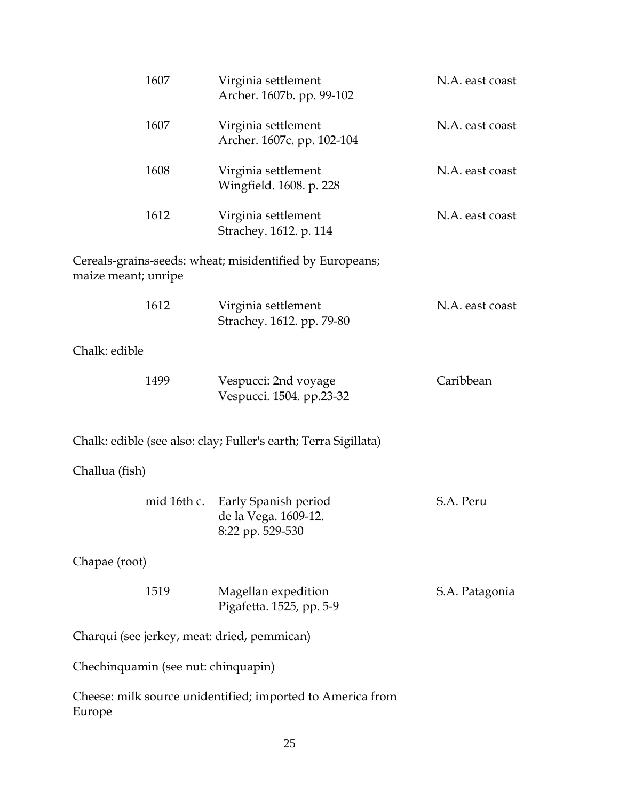| 1607                                        | Virginia settlement<br>Archer. 1607b. pp. 99-102                 | N.A. east coast |
|---------------------------------------------|------------------------------------------------------------------|-----------------|
| 1607                                        | Virginia settlement<br>Archer. 1607c. pp. 102-104                | N.A. east coast |
| 1608                                        | Virginia settlement<br>Wingfield. 1608. p. 228                   | N.A. east coast |
| 1612                                        | Virginia settlement<br>Strachey. 1612. p. 114                    | N.A. east coast |
| maize meant; unripe                         | Cereals-grains-seeds: wheat; misidentified by Europeans;         |                 |
| 1612                                        | Virginia settlement<br>Strachey. 1612. pp. 79-80                 | N.A. east coast |
| Chalk: edible                               |                                                                  |                 |
| 1499                                        | Vespucci: 2nd voyage<br>Vespucci. 1504. pp.23-32                 | Caribbean       |
|                                             | Chalk: edible (see also: clay; Fuller's earth; Terra Sigillata)  |                 |
| Challua (fish)                              |                                                                  |                 |
| mid 16th c.                                 | Early Spanish period<br>de la Vega. 1609-12.<br>8:22 pp. 529-530 | S.A. Peru       |
| Chapae (root)                               |                                                                  |                 |
| 1519                                        | Magellan expedition<br>Pigafetta. 1525, pp. 5-9                  | S.A. Patagonia  |
| Charqui (see jerkey, meat: dried, pemmican) |                                                                  |                 |
| Chechinquamin (see nut: chinquapin)         |                                                                  |                 |
| Europe                                      | Cheese: milk source unidentified; imported to America from       |                 |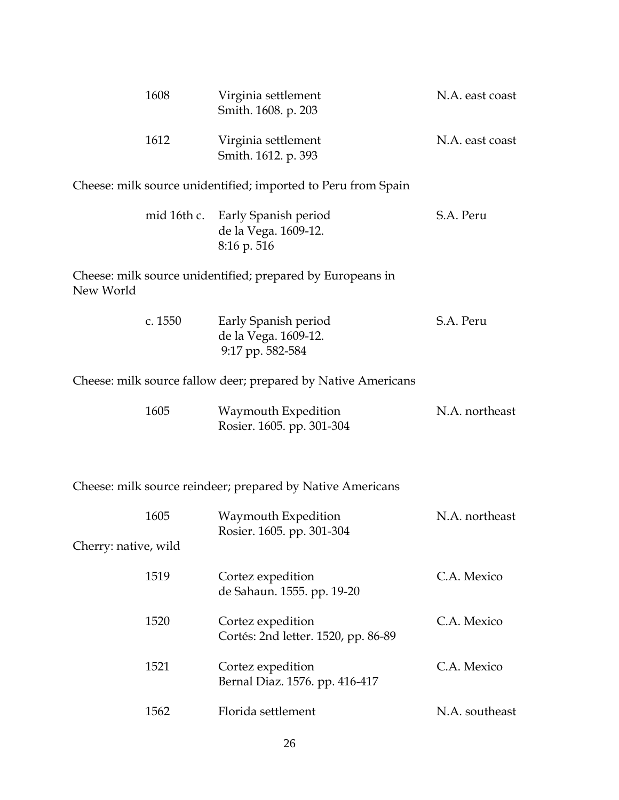| 1608                 | Virginia settlement<br>Smith. 1608. p. 203                              | N.A. east coast |
|----------------------|-------------------------------------------------------------------------|-----------------|
| 1612                 | Virginia settlement<br>Smith. 1612. p. 393                              | N.A. east coast |
|                      | Cheese: milk source unidentified; imported to Peru from Spain           |                 |
|                      | mid 16th c. Early Spanish period<br>de la Vega. 1609-12.<br>8:16 p. 516 | S.A. Peru       |
| New World            | Cheese: milk source unidentified; prepared by Europeans in              |                 |
| c. 1550              | Early Spanish period<br>de la Vega. 1609-12.<br>9:17 pp. 582-584        | S.A. Peru       |
|                      | Cheese: milk source fallow deer; prepared by Native Americans           |                 |
| 1605                 | Waymouth Expedition<br>Rosier. 1605. pp. 301-304                        | N.A. northeast  |
|                      | Cheese: milk source reindeer; prepared by Native Americans              |                 |
| 1605                 | Waymouth Expedition<br>Rosier. 1605. pp. 301-304                        | N.A. northeast  |
| Cherry: native, wild |                                                                         |                 |
| 1519                 | Cortez expedition<br>de Sahaun. 1555. pp. 19-20                         | C.A. Mexico     |
| 1520                 | Cortez expedition<br>Cortés: 2nd letter. 1520, pp. 86-89                | C.A. Mexico     |
| 1521                 | Cortez expedition<br>Bernal Diaz. 1576. pp. 416-417                     | C.A. Mexico     |
| 1562                 |                                                                         |                 |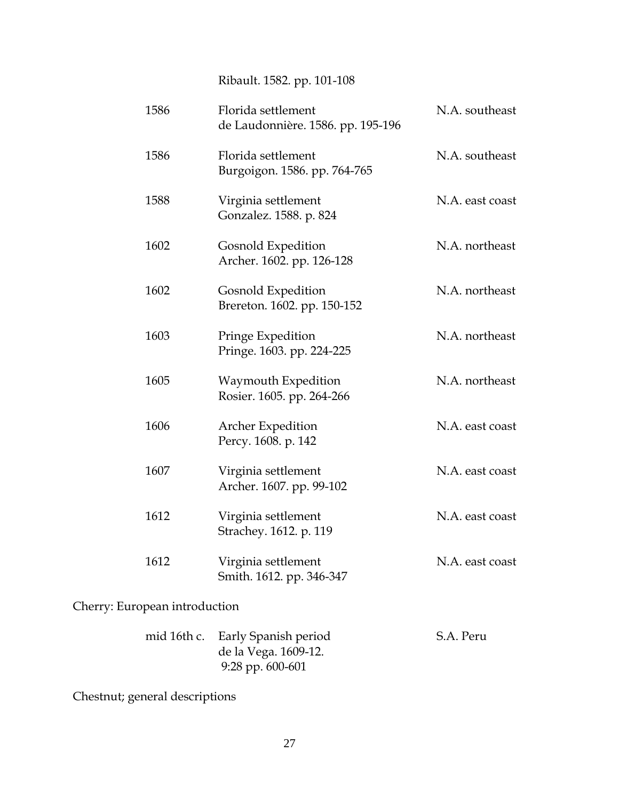Ribault. 1582. pp. 101-108

| 1586 | Florida settlement<br>de Laudonnière. 1586. pp. 195-196 | N.A. southeast  |
|------|---------------------------------------------------------|-----------------|
| 1586 | Florida settlement<br>Burgoigon. 1586. pp. 764-765      | N.A. southeast  |
| 1588 | Virginia settlement<br>Gonzalez. 1588. p. 824           | N.A. east coast |
| 1602 | Gosnold Expedition<br>Archer. 1602. pp. 126-128         | N.A. northeast  |
| 1602 | Gosnold Expedition<br>Brereton. 1602. pp. 150-152       | N.A. northeast  |
| 1603 | Pringe Expedition<br>Pringe. 1603. pp. 224-225          | N.A. northeast  |
| 1605 | Waymouth Expedition<br>Rosier. 1605. pp. 264-266        | N.A. northeast  |
| 1606 | <b>Archer Expedition</b><br>Percy. 1608. p. 142         | N.A. east coast |
| 1607 | Virginia settlement<br>Archer. 1607. pp. 99-102         | N.A. east coast |
| 1612 | Virginia settlement<br>Strachey. 1612. p. 119           | N.A. east coast |
| 1612 | Virginia settlement<br>Smith. 1612. pp. 346-347         | N.A. east coast |
|      |                                                         |                 |

Cherry: European introduction

| mid 16th c. Early Spanish period | S.A. Peru |
|----------------------------------|-----------|
| de la Vega. 1609-12.             |           |
| 9:28 pp. $600-601$               |           |

Chestnut; general descriptions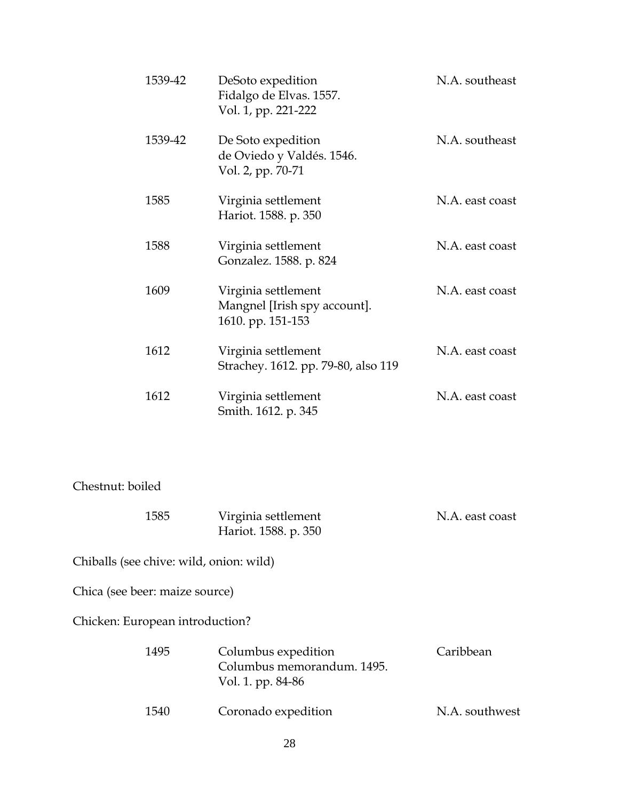| 1539-42 | DeSoto expedition<br>Fidalgo de Elvas. 1557.<br>Vol. 1, pp. 221-222      | N.A. southeast  |
|---------|--------------------------------------------------------------------------|-----------------|
| 1539-42 | De Soto expedition<br>de Oviedo y Valdés. 1546.<br>Vol. 2, pp. 70-71     | N.A. southeast  |
| 1585    | Virginia settlement<br>Hariot. 1588. p. 350                              | N.A. east coast |
| 1588    | Virginia settlement<br>Gonzalez. 1588. p. 824                            | N.A. east coast |
| 1609    | Virginia settlement<br>Mangnel [Irish spy account].<br>1610. pp. 151-153 | N.A. east coast |
| 1612    | Virginia settlement<br>Strachey. 1612. pp. 79-80, also 119               | N.A. east coast |
| 1612    | Virginia settlement<br>Smith. 1612. p. 345                               | N.A. east coast |

#### Chestnut: boiled

| 1585 | Virginia settlement  | N.A. east coast |
|------|----------------------|-----------------|
|      | Hariot. 1588. p. 350 |                 |

Chiballs (see chive: wild, onion: wild)

Chica (see beer: maize source)

Chicken: European introduction?

| 1495 | Columbus expedition        | Caribbean      |
|------|----------------------------|----------------|
|      | Columbus memorandum. 1495. |                |
|      | Vol. 1. pp. 84-86          |                |
| 1540 | Coronado expedition        | N.A. southwest |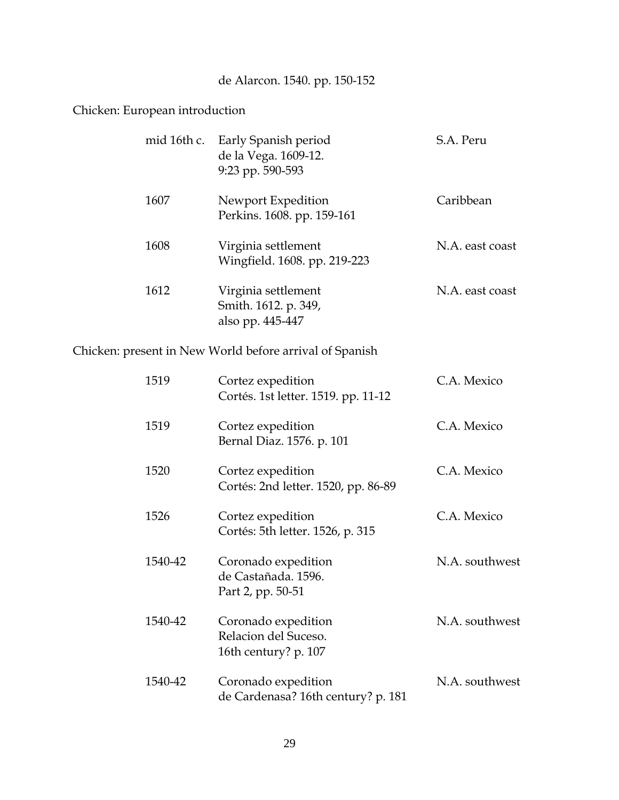## de Alarcon. 1540. pp. 150-152

### Chicken: European introduction

|      | mid 16th c. Early Spanish period<br>de la Vega. 1609-12.<br>9:23 pp. 590-593 | S.A. Peru       |
|------|------------------------------------------------------------------------------|-----------------|
| 1607 | Newport Expedition<br>Perkins. 1608. pp. 159-161                             | Caribbean       |
| 1608 | Virginia settlement<br>Wingfield. 1608. pp. 219-223                          | N.A. east coast |
| 1612 | Virginia settlement<br>Smith. 1612. p. 349,<br>also pp. 445-447              | N.A. east coast |

Chicken: present in New World before arrival of Spanish

| 1519    | Cortez expedition<br>Cortés. 1st letter. 1519. pp. 11-12            | C.A. Mexico    |
|---------|---------------------------------------------------------------------|----------------|
| 1519    | Cortez expedition<br>Bernal Diaz. 1576. p. 101                      | C.A. Mexico    |
| 1520    | Cortez expedition<br>Cortés: 2nd letter. 1520, pp. 86-89            | C.A. Mexico    |
| 1526    | Cortez expedition<br>Cortés: 5th letter. 1526, p. 315               | C.A. Mexico    |
| 1540-42 | Coronado expedition<br>de Castañada. 1596.<br>Part 2, pp. 50-51     | N.A. southwest |
| 1540-42 | Coronado expedition<br>Relacion del Suceso.<br>16th century? p. 107 | N.A. southwest |
| 1540-42 | Coronado expedition<br>de Cardenasa? 16th century? p. 181           | N.A. southwest |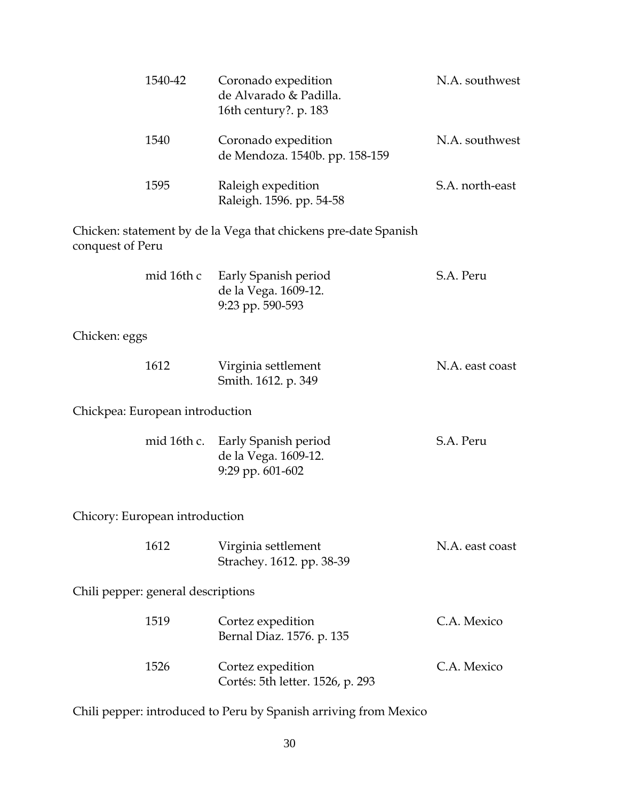|                  | 1540-42                            | Coronado expedition<br>de Alvarado & Padilla.<br>16th century?. p. 183 | N.A. southwest  |
|------------------|------------------------------------|------------------------------------------------------------------------|-----------------|
|                  | 1540                               | Coronado expedition<br>de Mendoza. 1540b. pp. 158-159                  | N.A. southwest  |
|                  | 1595                               | Raleigh expedition<br>Raleigh. 1596. pp. 54-58                         | S.A. north-east |
| conquest of Peru |                                    | Chicken: statement by de la Vega that chickens pre-date Spanish        |                 |
|                  | mid 16th c                         | Early Spanish period<br>de la Vega. 1609-12.<br>9:23 pp. 590-593       | S.A. Peru       |
| Chicken: eggs    |                                    |                                                                        |                 |
|                  | 1612                               | Virginia settlement<br>Smith. 1612. p. 349                             | N.A. east coast |
|                  | Chickpea: European introduction    |                                                                        |                 |
|                  | mid 16th c.                        | Early Spanish period<br>de la Vega. 1609-12.<br>9:29 pp. 601-602       | S.A. Peru       |
|                  | Chicory: European introduction     |                                                                        |                 |
|                  | 1612                               | Virginia settlement<br>Strachey. 1612. pp. 38-39                       | N.A. east coast |
|                  | Chili pepper: general descriptions |                                                                        |                 |
|                  | 1519                               | Cortez expedition<br>Bernal Diaz. 1576. p. 135                         | C.A. Mexico     |
|                  | 1526                               | Cortez expedition<br>Cortés: 5th letter. 1526, p. 293                  | C.A. Mexico     |
|                  |                                    |                                                                        |                 |

Chili pepper: introduced to Peru by Spanish arriving from Mexico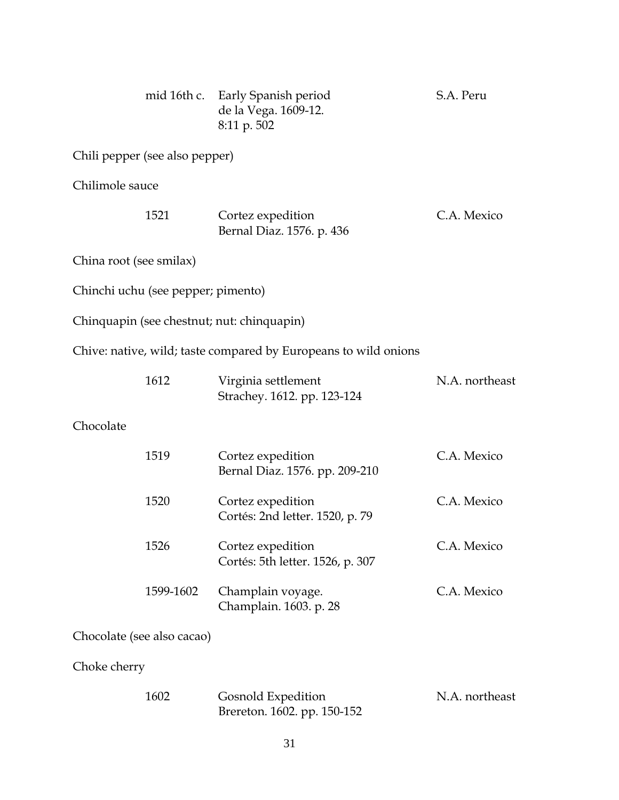|                            |                                    | mid 16th c. Early Spanish period<br>de la Vega. 1609-12.<br>8:11 p. 502 | S.A. Peru      |
|----------------------------|------------------------------------|-------------------------------------------------------------------------|----------------|
|                            | Chili pepper (see also pepper)     |                                                                         |                |
| Chilimole sauce            |                                    |                                                                         |                |
|                            | 1521                               | Cortez expedition<br>Bernal Diaz. 1576. p. 436                          | C.A. Mexico    |
| China root (see smilax)    |                                    |                                                                         |                |
|                            | Chinchi uchu (see pepper; pimento) |                                                                         |                |
|                            |                                    | Chinquapin (see chestnut; nut: chinquapin)                              |                |
|                            |                                    | Chive: native, wild; taste compared by Europeans to wild onions         |                |
|                            | 1612                               | Virginia settlement<br>Strachey. 1612. pp. 123-124                      | N.A. northeast |
| Chocolate                  |                                    |                                                                         |                |
|                            | 1519                               | Cortez expedition<br>Bernal Diaz. 1576. pp. 209-210                     | C.A. Mexico    |
|                            | 1520                               | Cortez expedition<br>Cortés: 2nd letter. 1520, p. 79                    | C.A. Mexico    |
|                            | 1526                               | Cortez expedition<br>Cortés: 5th letter. 1526, p. 307                   | C.A. Mexico    |
|                            | 1599-1602                          | Champlain voyage.<br>Champlain. 1603. p. 28                             | C.A. Mexico    |
| Chocolate (see also cacao) |                                    |                                                                         |                |
| Choke cherry               |                                    |                                                                         |                |

| 1602 | Gosnold Expedition          | N.A. northeast |
|------|-----------------------------|----------------|
|      | Brereton. 1602. pp. 150-152 |                |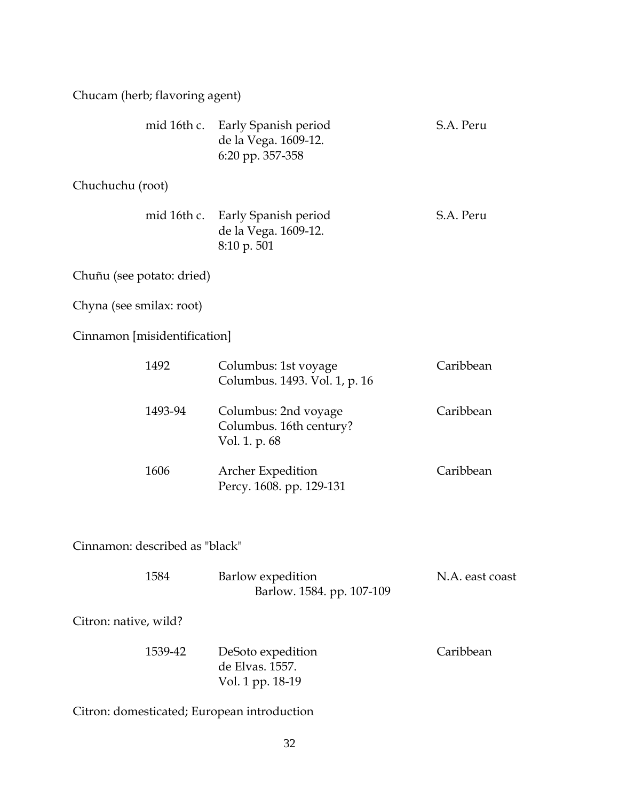Chucam (herb; flavoring agent)

|                              | mid 16th c. Early Spanish period<br>de la Vega. 1609-12.<br>6:20 pp. 357-358 | S.A. Peru |
|------------------------------|------------------------------------------------------------------------------|-----------|
| Chuchuchu (root)             |                                                                              |           |
|                              | mid 16th c. Early Spanish period<br>de la Vega. 1609-12.<br>8:10 p. 501      | S.A. Peru |
| Chuñu (see potato: dried)    |                                                                              |           |
| Chyna (see smilax: root)     |                                                                              |           |
| Cinnamon [misidentification] |                                                                              |           |
| 1492                         | Columbus: 1st voyage<br>Columbus. 1493. Vol. 1, p. 16                        | Caribbean |
| 1493-94                      | Columbus: 2nd voyage<br>Columbus. 16th century?<br>Vol. 1. p. 68             | Caribbean |
| 1606                         | <b>Archer Expedition</b><br>Percy. 1608. pp. 129-131                         | Caribbean |

Cinnamon: described as "black"

| 1584 | Barlow expedition         | N.A. east coast |
|------|---------------------------|-----------------|
|      | Barlow. 1584. pp. 107-109 |                 |

Citron: native, wild?

| 1539-42 | DeSoto expedition | Caribbean |
|---------|-------------------|-----------|
|         | de Elvas. 1557.   |           |
|         | Vol. 1 pp. 18-19  |           |

Citron: domesticated; European introduction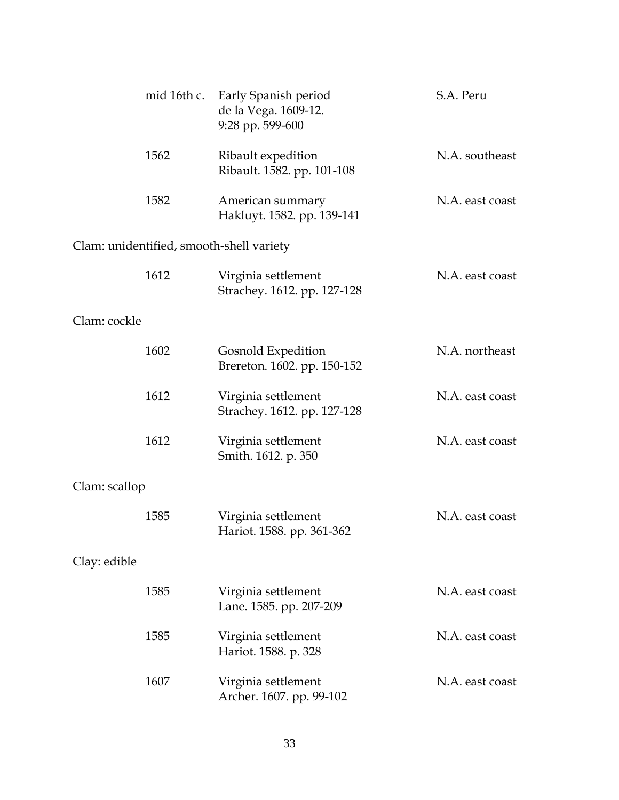|               | mid 16th c. | Early Spanish period<br>de la Vega. 1609-12.<br>9:28 pp. 599-600 | S.A. Peru       |
|---------------|-------------|------------------------------------------------------------------|-----------------|
|               | 1562        | Ribault expedition<br>Ribault. 1582. pp. 101-108                 | N.A. southeast  |
|               | 1582        | American summary<br>Hakluyt. 1582. pp. 139-141                   | N.A. east coast |
|               |             | Clam: unidentified, smooth-shell variety                         |                 |
|               | 1612        | Virginia settlement<br>Strachey. 1612. pp. 127-128               | N.A. east coast |
| Clam: cockle  |             |                                                                  |                 |
|               | 1602        | Gosnold Expedition<br>Brereton. 1602. pp. 150-152                | N.A. northeast  |
|               | 1612        | Virginia settlement<br>Strachey. 1612. pp. 127-128               | N.A. east coast |
|               | 1612        | Virginia settlement<br>Smith. 1612. p. 350                       | N.A. east coast |
| Clam: scallop |             |                                                                  |                 |
|               | 1585        | Virginia settlement<br>Hariot. 1588. pp. 361-362                 | N.A. east coast |
| Clay: edible  |             |                                                                  |                 |
|               | 1585        | Virginia settlement<br>Lane. 1585. pp. 207-209                   | N.A. east coast |
|               | 1585        | Virginia settlement<br>Hariot. 1588. p. 328                      | N.A. east coast |
|               | 1607        | Virginia settlement<br>Archer. 1607. pp. 99-102                  | N.A. east coast |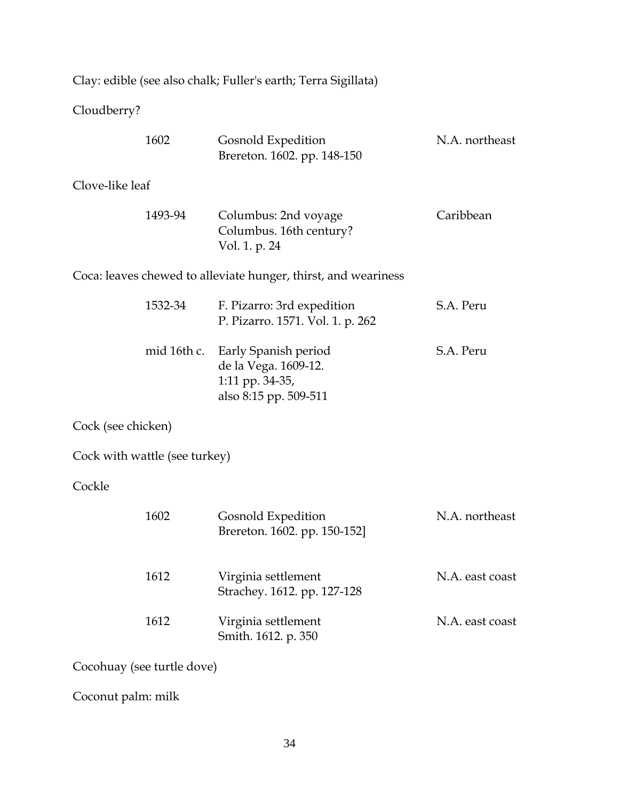|                    |                               | Clay: edible (see also chalk; Fuller's earth; Terra Sigillata)                           |                 |
|--------------------|-------------------------------|------------------------------------------------------------------------------------------|-----------------|
| Cloudberry?        |                               |                                                                                          |                 |
|                    | 1602                          | Gosnold Expedition<br>Brereton. 1602. pp. 148-150                                        | N.A. northeast  |
| Clove-like leaf    |                               |                                                                                          |                 |
|                    | 1493-94                       | Columbus: 2nd voyage<br>Columbus. 16th century?<br>Vol. 1. p. 24                         | Caribbean       |
|                    |                               | Coca: leaves chewed to alleviate hunger, thirst, and weariness                           |                 |
|                    | 1532-34                       | F. Pizarro: 3rd expedition<br>P. Pizarro. 1571. Vol. 1. p. 262                           | S.A. Peru       |
|                    | mid 16th c.                   | Early Spanish period<br>de la Vega. 1609-12.<br>1:11 pp. 34-35,<br>also 8:15 pp. 509-511 | S.A. Peru       |
| Cock (see chicken) |                               |                                                                                          |                 |
|                    | Cock with wattle (see turkey) |                                                                                          |                 |
| Cockle             |                               |                                                                                          |                 |
|                    | 1602                          | Gosnold Expedition<br>Brereton. 1602. pp. 150-152]                                       | N.A. northeast  |
|                    | 1612                          | Virginia settlement<br>Strachey. 1612. pp. 127-128                                       | N.A. east coast |
|                    | 1612                          | Virginia settlement<br>Smith. 1612. p. 350                                               | N.A. east coast |
|                    | Cocohuay (see turtle dove)    |                                                                                          |                 |

Coconut palm: milk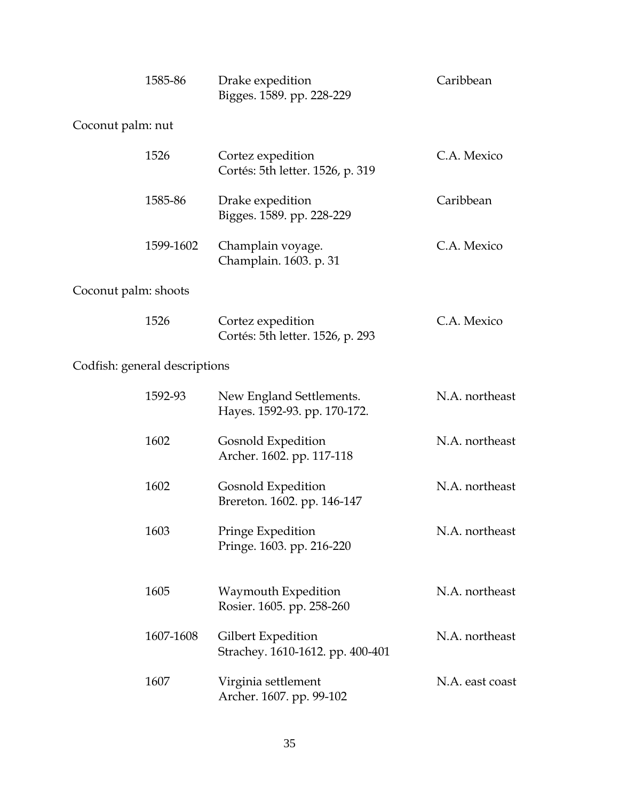|                      | 1585-86                       | Drake expedition<br>Bigges. 1589. pp. 228-229            | Caribbean       |
|----------------------|-------------------------------|----------------------------------------------------------|-----------------|
| Coconut palm: nut    |                               |                                                          |                 |
|                      | 1526                          | Cortez expedition<br>Cortés: 5th letter. 1526, p. 319    | C.A. Mexico     |
|                      | 1585-86                       | Drake expedition<br>Bigges. 1589. pp. 228-229            | Caribbean       |
|                      | 1599-1602                     | Champlain voyage.<br>Champlain. 1603. p. 31              | C.A. Mexico     |
| Coconut palm: shoots |                               |                                                          |                 |
|                      | 1526                          | Cortez expedition<br>Cortés: 5th letter. 1526, p. 293    | C.A. Mexico     |
|                      | Codfish: general descriptions |                                                          |                 |
|                      | 1592-93                       | New England Settlements.<br>Hayes. 1592-93. pp. 170-172. | N.A. northeast  |
|                      | 1602                          | Gosnold Expedition<br>Archer. 1602. pp. 117-118          | N.A. northeast  |
|                      | 1602                          | Gosnold Expedition<br>Brereton. 1602. pp. 146-147        | N.A. northeast  |
|                      | 1603                          | Pringe Expedition<br>Pringe. 1603. pp. 216-220           | N.A. northeast  |
|                      | 1605                          | Waymouth Expedition<br>Rosier. 1605. pp. 258-260         | N.A. northeast  |
|                      | 1607-1608                     | Gilbert Expedition<br>Strachey. 1610-1612. pp. 400-401   | N.A. northeast  |
|                      | 1607                          | Virginia settlement<br>Archer. 1607. pp. 99-102          | N.A. east coast |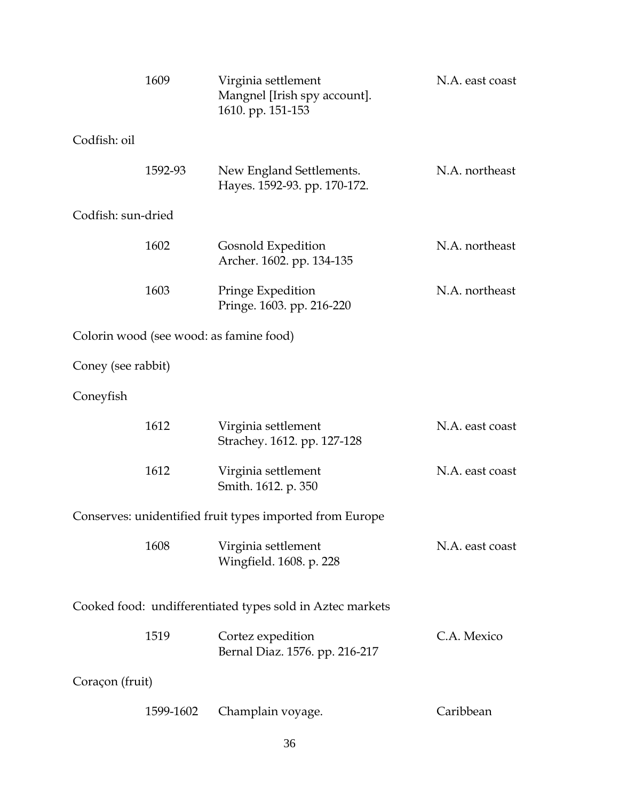|                    | 1609      | Virginia settlement<br>Mangnel [Irish spy account].<br>1610. pp. 151-153 | N.A. east coast |
|--------------------|-----------|--------------------------------------------------------------------------|-----------------|
| Codfish: oil       |           |                                                                          |                 |
|                    | 1592-93   | New England Settlements.<br>Hayes. 1592-93. pp. 170-172.                 | N.A. northeast  |
| Codfish: sun-dried |           |                                                                          |                 |
|                    | 1602      | Gosnold Expedition<br>Archer. 1602. pp. 134-135                          | N.A. northeast  |
|                    | 1603      | Pringe Expedition<br>Pringe. 1603. pp. 216-220                           | N.A. northeast  |
|                    |           | Colorin wood (see wood: as famine food)                                  |                 |
| Coney (see rabbit) |           |                                                                          |                 |
| Coneyfish          |           |                                                                          |                 |
|                    | 1612      | Virginia settlement<br>Strachey. 1612. pp. 127-128                       | N.A. east coast |
|                    | 1612      | Virginia settlement<br>Smith. 1612. p. 350                               | N.A. east coast |
|                    |           | Conserves: unidentified fruit types imported from Europe                 |                 |
|                    | 1608      | Virginia settlement<br>Wingfield. 1608. p. 228                           | N.A. east coast |
|                    |           | Cooked food: undifferentiated types sold in Aztec markets                |                 |
|                    | 1519      | Cortez expedition<br>Bernal Diaz. 1576. pp. 216-217                      | C.A. Mexico     |
| Coraçon (fruit)    |           |                                                                          |                 |
|                    | 1599-1602 | Champlain voyage.                                                        | Caribbean       |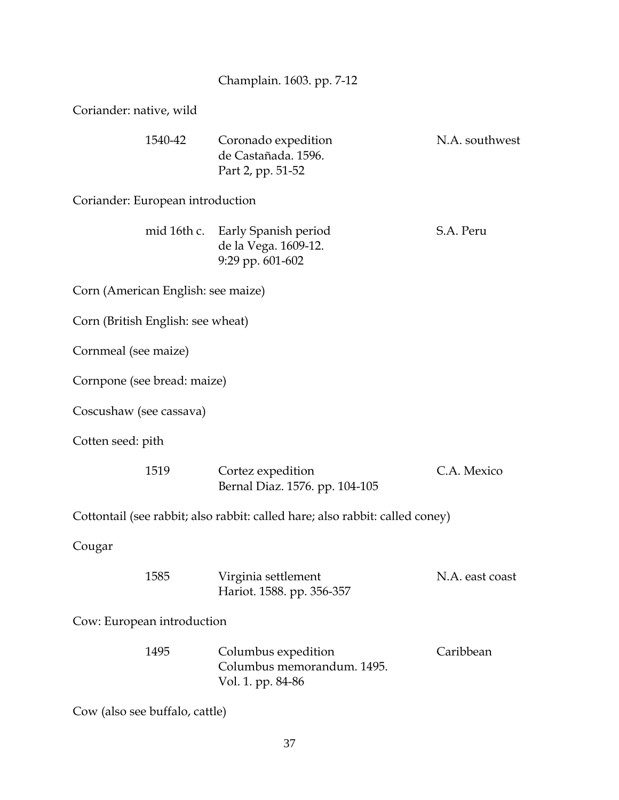| Champlain. 1603. pp. 7-12 |  |
|---------------------------|--|
|                           |  |

Coriander: native, wild

| 1540-42                            | Coronado expedition<br>de Castañada. 1596.<br>Part 2, pp. 51-52              | N.A. southwest  |  |  |
|------------------------------------|------------------------------------------------------------------------------|-----------------|--|--|
| Coriander: European introduction   |                                                                              |                 |  |  |
| mid 16th c.                        | Early Spanish period<br>de la Vega. 1609-12.<br>9:29 pp. 601-602             | S.A. Peru       |  |  |
| Corn (American English: see maize) |                                                                              |                 |  |  |
| Corn (British English: see wheat)  |                                                                              |                 |  |  |
| Cornmeal (see maize)               |                                                                              |                 |  |  |
| Cornpone (see bread: maize)        |                                                                              |                 |  |  |
| Coscushaw (see cassava)            |                                                                              |                 |  |  |
| Cotten seed: pith                  |                                                                              |                 |  |  |
| 1519                               | Cortez expedition<br>Bernal Diaz. 1576. pp. 104-105                          | C.A. Mexico     |  |  |
|                                    | Cottontail (see rabbit; also rabbit: called hare; also rabbit: called coney) |                 |  |  |
| Cougar                             |                                                                              |                 |  |  |
| 1585                               | Virginia settlement<br>Hariot. 1588. pp. 356-357                             | N.A. east coast |  |  |
| Cow: European introduction         |                                                                              |                 |  |  |
| 1495                               | Columbus expedition<br>Columbus memorandum, 1495.<br>Vol. 1. pp. 84-86       | Caribbean       |  |  |
| Cow (also see buffalo, cattle)     |                                                                              |                 |  |  |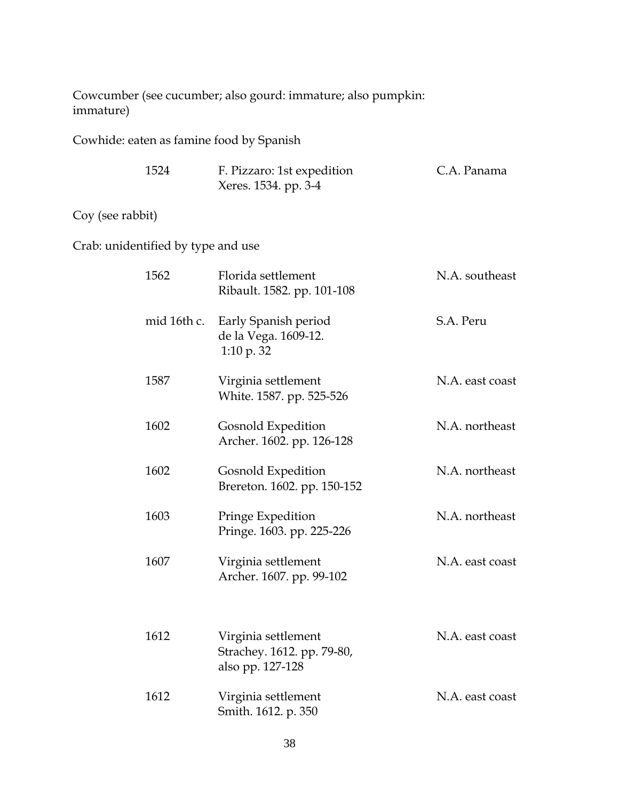Cowcumber (see cucumber; also gourd: immature; also pumpkin: immature)

Cowhide: eaten as famine food by Spanish

| 1524 | F. Pizzaro: 1st expedition | C.A. Panama |
|------|----------------------------|-------------|
|      | Xeres. 1534. pp. 3-4       |             |

## Coy (see rabbit)

Crab: unidentified by type and use

| 1562        | Florida settlement<br>Ribault. 1582. pp. 101-108                      | N.A. southeast  |
|-------------|-----------------------------------------------------------------------|-----------------|
| mid 16th c. | Early Spanish period<br>de la Vega. 1609-12.<br>1:10 p. $32$          | S.A. Peru       |
| 1587        | Virginia settlement<br>White. 1587. pp. 525-526                       | N.A. east coast |
| 1602        | Gosnold Expedition<br>Archer. 1602. pp. 126-128                       | N.A. northeast  |
| 1602        | Gosnold Expedition<br>Brereton. 1602. pp. 150-152                     | N.A. northeast  |
| 1603        | Pringe Expedition<br>Pringe. 1603. pp. 225-226                        | N.A. northeast  |
| 1607        | Virginia settlement<br>Archer. 1607. pp. 99-102                       | N.A. east coast |
| 1612        | Virginia settlement<br>Strachey. 1612. pp. 79-80,<br>also pp. 127-128 | N.A. east coast |
| 1612        | Virginia settlement<br>Smith. 1612. p. 350                            | N.A. east coast |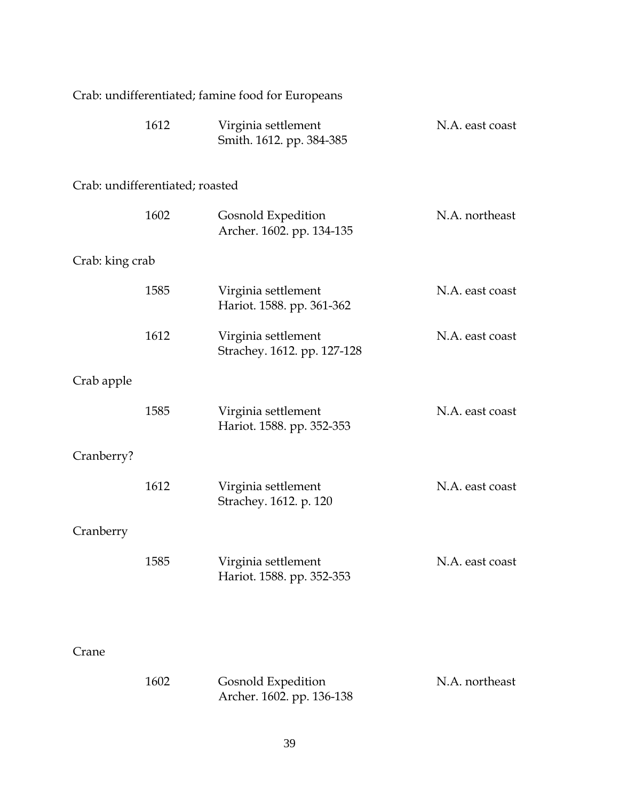| Crab: undifferentiated; famine food for Europeans |                                 |                                                    |                 |
|---------------------------------------------------|---------------------------------|----------------------------------------------------|-----------------|
|                                                   | 1612                            | Virginia settlement<br>Smith. 1612. pp. 384-385    | N.A. east coast |
|                                                   | Crab: undifferentiated; roasted |                                                    |                 |
|                                                   | 1602                            | Gosnold Expedition<br>Archer. 1602. pp. 134-135    | N.A. northeast  |
| Crab: king crab                                   |                                 |                                                    |                 |
|                                                   | 1585                            | Virginia settlement<br>Hariot. 1588. pp. 361-362   | N.A. east coast |
|                                                   | 1612                            | Virginia settlement<br>Strachey. 1612. pp. 127-128 | N.A. east coast |
| Crab apple                                        |                                 |                                                    |                 |
|                                                   | 1585                            | Virginia settlement<br>Hariot. 1588. pp. 352-353   | N.A. east coast |
| Cranberry?                                        |                                 |                                                    |                 |
|                                                   | 1612                            | Virginia settlement<br>Strachey. 1612. p. 120      | N.A. east coast |
| Cranberry                                         |                                 |                                                    |                 |
|                                                   | 1585                            | Virginia settlement<br>Hariot. 1588. pp. 352-353   | N.A. east coast |
|                                                   |                                 |                                                    |                 |
| Crane                                             |                                 |                                                    |                 |
|                                                   | 1602                            | Gosnold Expedition<br>Archer. 1602. pp. 136-138    | N.A. northeast  |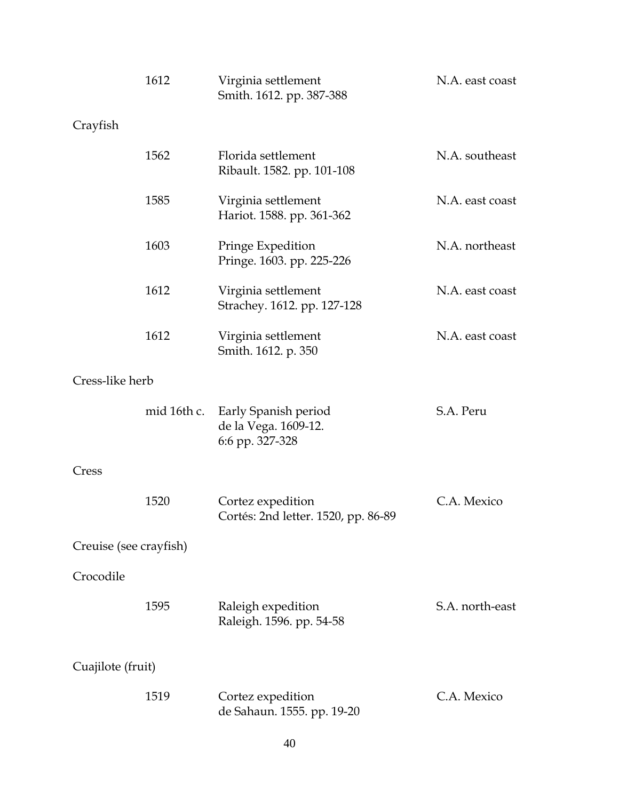|                        | 1612        | Virginia settlement<br>Smith. 1612. pp. 387-388                 | N.A. east coast |  |
|------------------------|-------------|-----------------------------------------------------------------|-----------------|--|
| Crayfish               |             |                                                                 |                 |  |
|                        | 1562        | Florida settlement<br>Ribault. 1582. pp. 101-108                | N.A. southeast  |  |
|                        | 1585        | Virginia settlement<br>Hariot. 1588. pp. 361-362                | N.A. east coast |  |
|                        | 1603        | Pringe Expedition<br>Pringe. 1603. pp. 225-226                  | N.A. northeast  |  |
|                        | 1612        | Virginia settlement<br>Strachey. 1612. pp. 127-128              | N.A. east coast |  |
|                        | 1612        | Virginia settlement<br>Smith. 1612. p. 350                      | N.A. east coast |  |
| Cress-like herb        |             |                                                                 |                 |  |
|                        | mid 16th c. | Early Spanish period<br>de la Vega. 1609-12.<br>6:6 pp. 327-328 | S.A. Peru       |  |
| Cress                  |             |                                                                 |                 |  |
|                        | 1520        | Cortez expedition<br>Cortés: 2nd letter. 1520, pp. 86-89        | C.A. Mexico     |  |
| Creuise (see crayfish) |             |                                                                 |                 |  |
| Crocodile              |             |                                                                 |                 |  |
|                        | 1595        | Raleigh expedition<br>Raleigh. 1596. pp. 54-58                  | S.A. north-east |  |
| Cuajilote (fruit)      |             |                                                                 |                 |  |
|                        | 1519        | Cortez expedition<br>de Sahaun. 1555. pp. 19-20                 | C.A. Mexico     |  |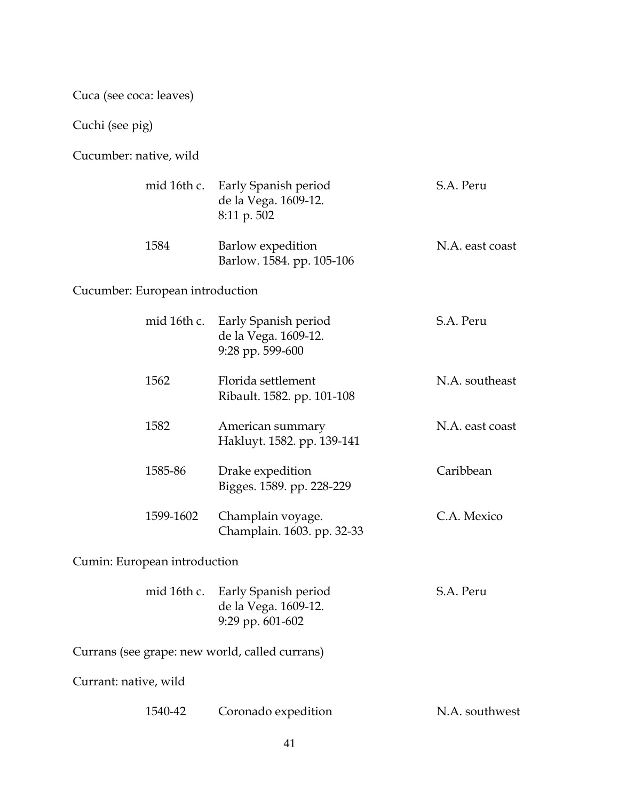Cuca (see coca: leaves)

Cuchi (see pig)

Cucumber: native, wild

|                       | mid 16th c.                     | Early Spanish period<br>de la Vega. 1609-12.<br>8:11 p. 502      | S.A. Peru       |
|-----------------------|---------------------------------|------------------------------------------------------------------|-----------------|
|                       | 1584                            | Barlow expedition<br>Barlow. 1584. pp. 105-106                   | N.A. east coast |
|                       | Cucumber: European introduction |                                                                  |                 |
|                       | mid 16th c.                     | Early Spanish period<br>de la Vega. 1609-12.<br>9:28 pp. 599-600 | S.A. Peru       |
|                       | 1562                            | Florida settlement<br>Ribault. 1582. pp. 101-108                 | N.A. southeast  |
|                       | 1582                            | American summary<br>Hakluyt. 1582. pp. 139-141                   | N.A. east coast |
|                       | 1585-86                         | Drake expedition<br>Bigges. 1589. pp. 228-229                    | Caribbean       |
|                       | 1599-1602                       | Champlain voyage.<br>Champlain. 1603. pp. 32-33                  | C.A. Mexico     |
|                       | Cumin: European introduction    |                                                                  |                 |
|                       | mid 16th c.                     | Early Spanish period<br>de la Vega. 1609-12.<br>9:29 pp. 601-602 | S.A. Peru       |
|                       |                                 | Currans (see grape: new world, called currans)                   |                 |
| Currant: native, wild |                                 |                                                                  |                 |
|                       | 1540-42                         | Coronado expedition                                              | N.A. southwest  |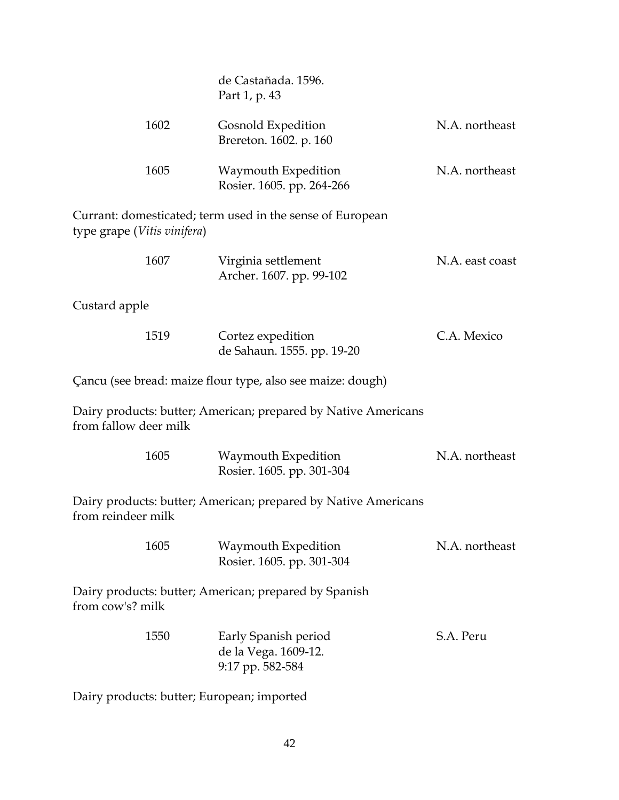|                             | de Castañada, 1596.<br>Part 1, p. 43                             |                 |
|-----------------------------|------------------------------------------------------------------|-----------------|
| 1602                        | Gosnold Expedition<br>Brereton. 1602. p. 160                     | N.A. northeast  |
| 1605                        | Waymouth Expedition<br>Rosier. 1605. pp. 264-266                 | N.A. northeast  |
| type grape (Vitis vinifera) | Currant: domesticated; term used in the sense of European        |                 |
| 1607                        | Virginia settlement<br>Archer. 1607. pp. 99-102                  | N.A. east coast |
| Custard apple               |                                                                  |                 |
| 1519                        | Cortez expedition<br>de Sahaun. 1555. pp. 19-20                  | C.A. Mexico     |
|                             | Çancu (see bread: maize flour type, also see maize: dough)       |                 |
| from fallow deer milk       | Dairy products: butter; American; prepared by Native Americans   |                 |
| 1605                        | Waymouth Expedition<br>Rosier. 1605. pp. 301-304                 | N.A. northeast  |
| from reindeer milk          | Dairy products: butter; American; prepared by Native Americans   |                 |
| 1605                        | Waymouth Expedition<br>Rosier. 1605. pp. 301-304                 | N.A. northeast  |
| from cow's? milk            | Dairy products: butter; American; prepared by Spanish            |                 |
| 1550                        | Early Spanish period<br>de la Vega. 1609-12.<br>9:17 pp. 582-584 | S.A. Peru       |
|                             |                                                                  |                 |

Dairy products: butter; European; imported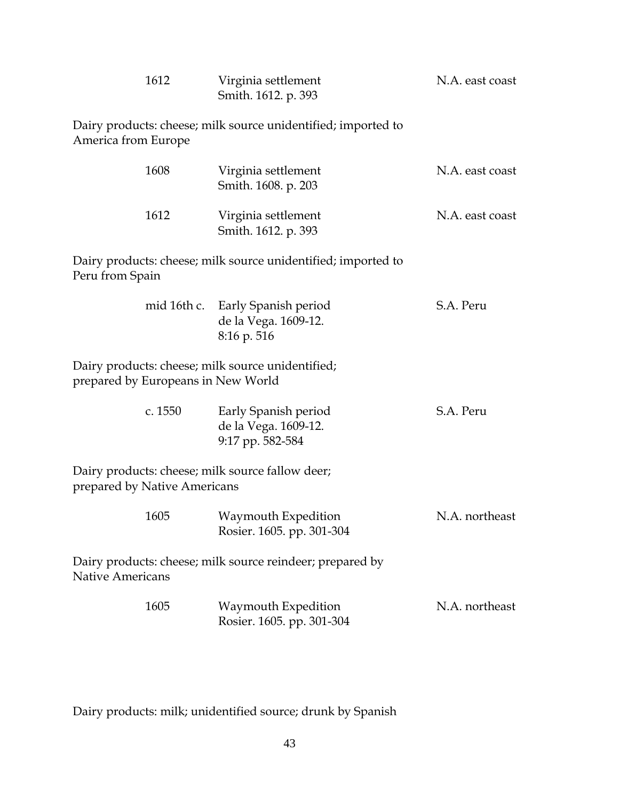| 1612                                                                                    | Virginia settlement<br>Smith. 1612. p. 393                       | N.A. east coast |
|-----------------------------------------------------------------------------------------|------------------------------------------------------------------|-----------------|
| America from Europe                                                                     | Dairy products: cheese; milk source unidentified; imported to    |                 |
| 1608                                                                                    | Virginia settlement<br>Smith. 1608. p. 203                       | N.A. east coast |
| 1612                                                                                    | Virginia settlement<br>Smith. 1612. p. 393                       | N.A. east coast |
| Peru from Spain                                                                         | Dairy products: cheese; milk source unidentified; imported to    |                 |
| mid 16th c.                                                                             | Early Spanish period<br>de la Vega. 1609-12.<br>8:16 p. 516      | S.A. Peru       |
| Dairy products: cheese; milk source unidentified;<br>prepared by Europeans in New World |                                                                  |                 |
| c. 1550                                                                                 | Early Spanish period<br>de la Vega. 1609-12.<br>9:17 pp. 582-584 | S.A. Peru       |
| Dairy products: cheese; milk source fallow deer;<br>prepared by Native Americans        |                                                                  |                 |
| 1605                                                                                    | Waymouth Expedition<br>Rosier. 1605. pp. 301-304                 | N.A. northeast  |
| <b>Native Americans</b>                                                                 | Dairy products: cheese; milk source reindeer; prepared by        |                 |
| 1605                                                                                    | Waymouth Expedition<br>Rosier. 1605. pp. 301-304                 | N.A. northeast  |

Dairy products: milk; unidentified source; drunk by Spanish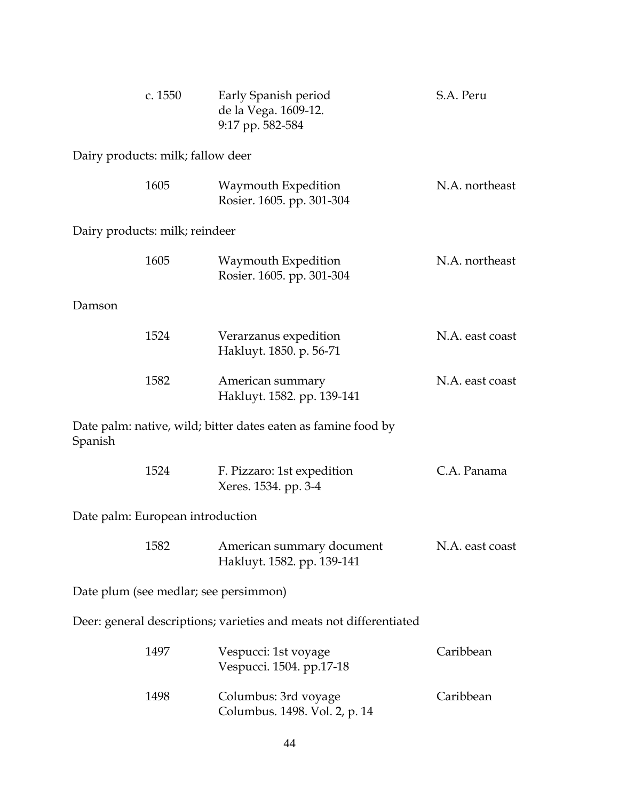|                                                                    | c. 1550                           | Early Spanish period<br>de la Vega. 1609-12.<br>9:17 pp. 582-584 | S.A. Peru       |  |
|--------------------------------------------------------------------|-----------------------------------|------------------------------------------------------------------|-----------------|--|
|                                                                    | Dairy products: milk; fallow deer |                                                                  |                 |  |
|                                                                    | 1605                              | Waymouth Expedition<br>Rosier. 1605. pp. 301-304                 | N.A. northeast  |  |
|                                                                    | Dairy products: milk; reindeer    |                                                                  |                 |  |
|                                                                    | 1605                              | Waymouth Expedition<br>Rosier. 1605. pp. 301-304                 | N.A. northeast  |  |
| Damson                                                             |                                   |                                                                  |                 |  |
|                                                                    | 1524                              | Verarzanus expedition<br>Hakluyt. 1850. p. 56-71                 | N.A. east coast |  |
|                                                                    | 1582                              | American summary<br>Hakluyt. 1582. pp. 139-141                   | N.A. east coast |  |
| Spanish                                                            |                                   | Date palm: native, wild; bitter dates eaten as famine food by    |                 |  |
|                                                                    | 1524                              | F. Pizzaro: 1st expedition<br>Xeres. 1534. pp. 3-4               | C.A. Panama     |  |
|                                                                    | Date palm: European introduction  |                                                                  |                 |  |
|                                                                    | 1582                              | American summary document<br>Hakluyt. 1582. pp. 139-141          | N.A. east coast |  |
| Date plum (see medlar; see persimmon)                              |                                   |                                                                  |                 |  |
| Deer: general descriptions; varieties and meats not differentiated |                                   |                                                                  |                 |  |
|                                                                    | 1497                              | Vespucci: 1st voyage<br>Vespucci. 1504. pp.17-18                 | Caribbean       |  |
|                                                                    | 1498                              | Columbus: 3rd voyage<br>Columbus. 1498. Vol. 2, p. 14            | Caribbean       |  |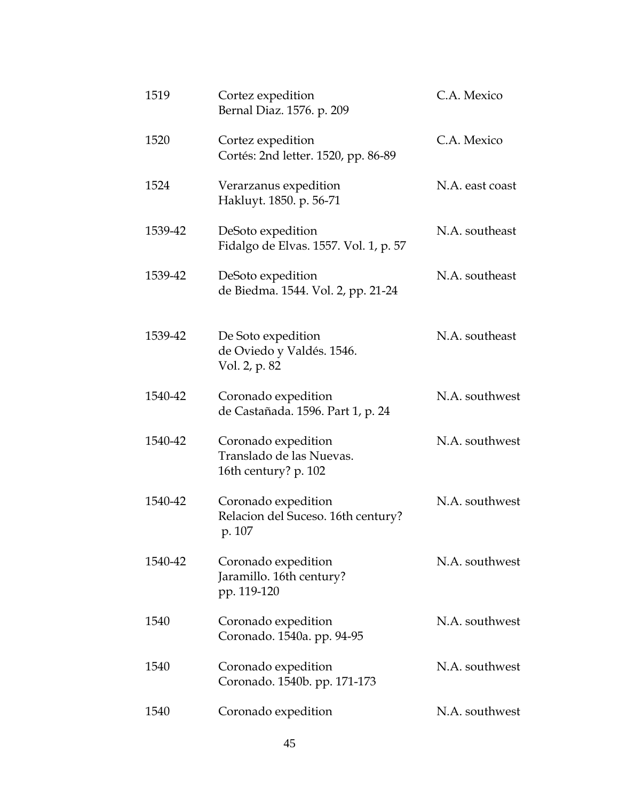| 1519    | Cortez expedition<br>Bernal Diaz. 1576. p. 209                          | C.A. Mexico     |
|---------|-------------------------------------------------------------------------|-----------------|
| 1520    | Cortez expedition<br>Cortés: 2nd letter. 1520, pp. 86-89                | C.A. Mexico     |
| 1524    | Verarzanus expedition<br>Hakluyt. 1850. p. 56-71                        | N.A. east coast |
| 1539-42 | DeSoto expedition<br>Fidalgo de Elvas. 1557. Vol. 1, p. 57              | N.A. southeast  |
| 1539-42 | DeSoto expedition<br>de Biedma. 1544. Vol. 2, pp. 21-24                 | N.A. southeast  |
| 1539-42 | De Soto expedition<br>de Oviedo y Valdés. 1546.<br>Vol. 2, p. 82        | N.A. southeast  |
| 1540-42 | Coronado expedition<br>de Castañada. 1596. Part 1, p. 24                | N.A. southwest  |
| 1540-42 | Coronado expedition<br>Translado de las Nuevas.<br>16th century? p. 102 | N.A. southwest  |
| 1540-42 | Coronado expedition<br>Relacion del Suceso. 16th century?<br>p. 107     | N.A. southwest  |
| 1540-42 | Coronado expedition<br>Jaramillo. 16th century?<br>pp. 119-120          | N.A. southwest  |
| 1540    | Coronado expedition<br>Coronado. 1540a. pp. 94-95                       | N.A. southwest  |
| 1540    | Coronado expedition<br>Coronado. 1540b. pp. 171-173                     | N.A. southwest  |
| 1540    | Coronado expedition                                                     | N.A. southwest  |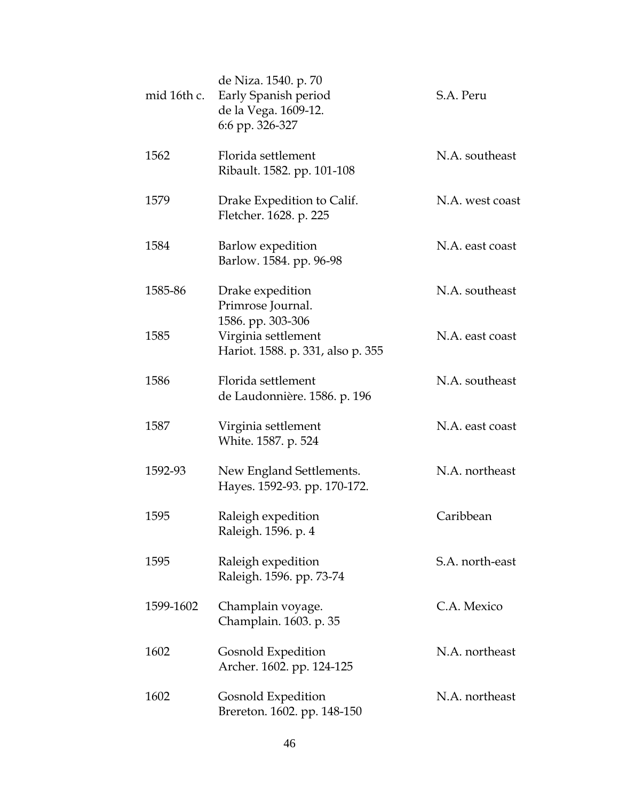| mid 16th c. | de Niza. 1540. p. 70<br>Early Spanish period<br>de la Vega. 1609-12.<br>6:6 pp. 326-327 | S.A. Peru       |
|-------------|-----------------------------------------------------------------------------------------|-----------------|
| 1562        | Florida settlement<br>Ribault. 1582. pp. 101-108                                        | N.A. southeast  |
| 1579        | Drake Expedition to Calif.<br>Fletcher. 1628. p. 225                                    | N.A. west coast |
| 1584        | Barlow expedition<br>Barlow. 1584. pp. 96-98                                            | N.A. east coast |
| 1585-86     | Drake expedition<br>Primrose Journal.                                                   | N.A. southeast  |
| 1585        | 1586. pp. 303-306<br>Virginia settlement<br>Hariot. 1588. p. 331, also p. 355           | N.A. east coast |
| 1586        | Florida settlement<br>de Laudonnière. 1586. p. 196                                      | N.A. southeast  |
| 1587        | Virginia settlement<br>White. 1587. p. 524                                              | N.A. east coast |
| 1592-93     | New England Settlements.<br>Hayes. 1592-93. pp. 170-172.                                | N.A. northeast  |
| 1595        | Raleigh expedition<br>Raleigh. 1596. p. 4                                               | Caribbean       |
| 1595        | Raleigh expedition<br>Raleigh. 1596. pp. 73-74                                          | S.A. north-east |
| 1599-1602   | Champlain voyage.<br>Champlain. 1603. p. 35                                             | C.A. Mexico     |
| 1602        | <b>Gosnold Expedition</b><br>Archer. 1602. pp. 124-125                                  | N.A. northeast  |
| 1602        | Gosnold Expedition<br>Brereton. 1602. pp. 148-150                                       | N.A. northeast  |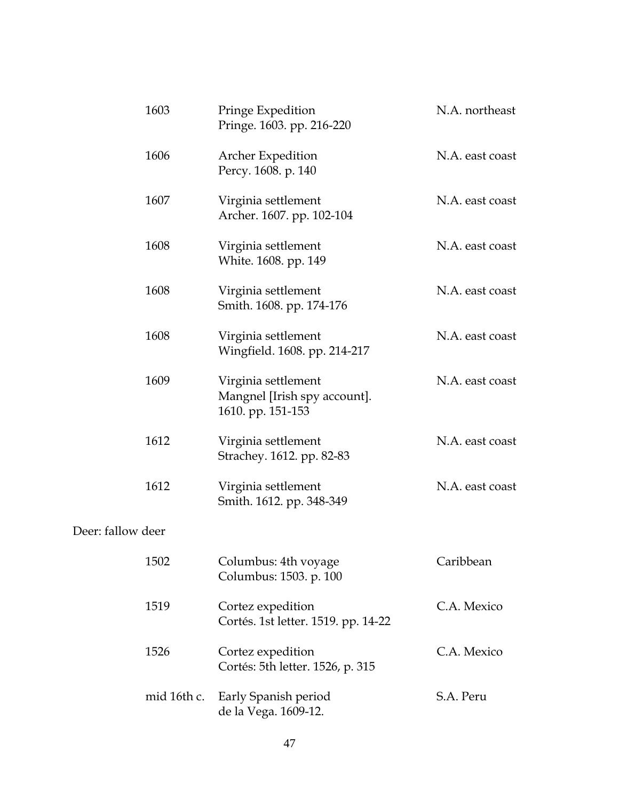|                   | 1603        | Pringe Expedition<br>Pringe. 1603. pp. 216-220                           | N.A. northeast  |
|-------------------|-------------|--------------------------------------------------------------------------|-----------------|
|                   | 1606        | Archer Expedition<br>Percy. 1608. p. 140                                 | N.A. east coast |
|                   | 1607        | Virginia settlement<br>Archer. 1607. pp. 102-104                         | N.A. east coast |
|                   | 1608        | Virginia settlement<br>White. 1608. pp. 149                              | N.A. east coast |
|                   | 1608        | Virginia settlement<br>Smith. 1608. pp. 174-176                          | N.A. east coast |
|                   | 1608        | Virginia settlement<br>Wingfield. 1608. pp. 214-217                      | N.A. east coast |
|                   | 1609        | Virginia settlement<br>Mangnel [Irish spy account].<br>1610. pp. 151-153 | N.A. east coast |
|                   | 1612        | Virginia settlement<br>Strachey. 1612. pp. 82-83                         | N.A. east coast |
|                   | 1612        | Virginia settlement<br>Smith. 1612. pp. 348-349                          | N.A. east coast |
| Deer: fallow deer |             |                                                                          |                 |
|                   | 1502        | Columbus: 4th voyage<br>Columbus: 1503. p. 100                           | Caribbean       |
|                   | 1519        | Cortez expedition<br>Cortés. 1st letter. 1519. pp. 14-22                 | C.A. Mexico     |
|                   | 1526        | Cortez expedition<br>Cortés: 5th letter. 1526, p. 315                    | C.A. Mexico     |
|                   | mid 16th c. | Early Spanish period<br>de la Vega. 1609-12.                             | S.A. Peru       |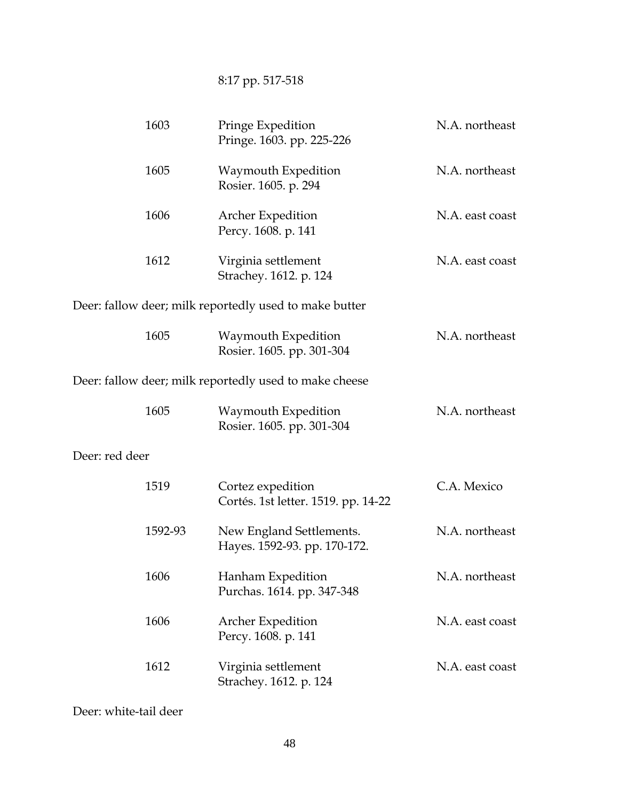# 8:17 pp. 517-518

|                | 1603    | Pringe Expedition<br>Pringe. 1603. pp. 225-226           | N.A. northeast  |
|----------------|---------|----------------------------------------------------------|-----------------|
|                | 1605    | Waymouth Expedition<br>Rosier. 1605. p. 294              | N.A. northeast  |
|                | 1606    | <b>Archer Expedition</b><br>Percy. 1608. p. 141          | N.A. east coast |
|                | 1612    | Virginia settlement<br>Strachey. 1612. p. 124            | N.A. east coast |
|                |         | Deer: fallow deer; milk reportedly used to make butter   |                 |
|                | 1605    | Waymouth Expedition<br>Rosier. 1605. pp. 301-304         | N.A. northeast  |
|                |         | Deer: fallow deer; milk reportedly used to make cheese   |                 |
|                | 1605    | Waymouth Expedition<br>Rosier. 1605. pp. 301-304         | N.A. northeast  |
| Deer: red deer |         |                                                          |                 |
|                | 1519    | Cortez expedition<br>Cortés. 1st letter. 1519. pp. 14-22 | C.A. Mexico     |
|                | 1592-93 | New England Settlements.<br>Hayes. 1592-93. pp. 170-172. | N.A. northeast  |
|                | 1606    | Hanham Expedition<br>Purchas. 1614. pp. 347-348          | N.A. northeast  |
|                | 1606    | <b>Archer Expedition</b><br>Percy. 1608. p. 141          | N.A. east coast |
|                | 1612    | Virginia settlement<br>Strachey. 1612. p. 124            | N.A. east coast |

Deer: white-tail deer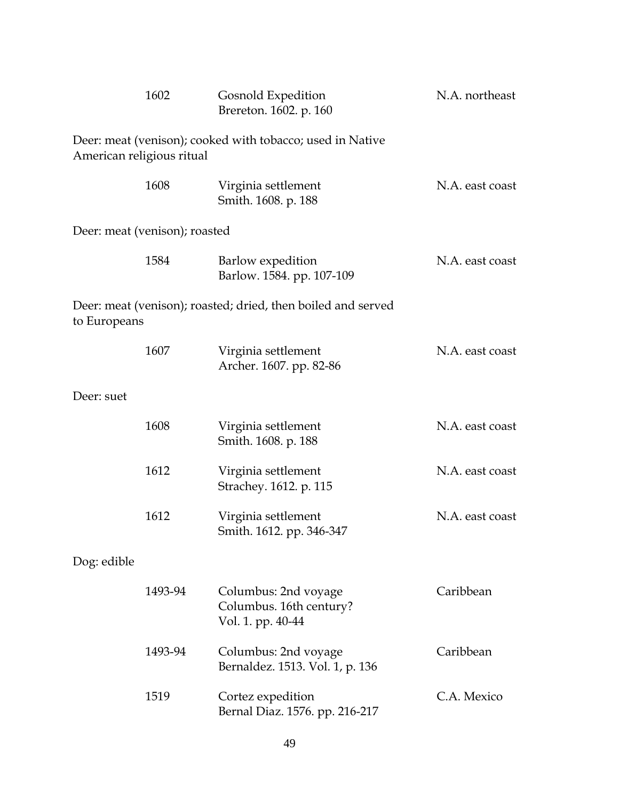|              | 1602                                                                                   | Gosnold Expedition<br>Brereton. 1602. p. 160                         | N.A. northeast  |  |  |  |
|--------------|----------------------------------------------------------------------------------------|----------------------------------------------------------------------|-----------------|--|--|--|
|              | Deer: meat (venison); cooked with tobacco; used in Native<br>American religious ritual |                                                                      |                 |  |  |  |
|              | 1608                                                                                   | Virginia settlement<br>Smith. 1608. p. 188                           | N.A. east coast |  |  |  |
|              | Deer: meat (venison); roasted                                                          |                                                                      |                 |  |  |  |
|              | 1584                                                                                   | Barlow expedition<br>Barlow. 1584. pp. 107-109                       | N.A. east coast |  |  |  |
| to Europeans |                                                                                        | Deer: meat (venison); roasted; dried, then boiled and served         |                 |  |  |  |
|              | 1607                                                                                   | Virginia settlement<br>Archer. 1607. pp. 82-86                       | N.A. east coast |  |  |  |
| Deer: suet   |                                                                                        |                                                                      |                 |  |  |  |
|              | 1608                                                                                   | Virginia settlement<br>Smith. 1608. p. 188                           | N.A. east coast |  |  |  |
|              | 1612                                                                                   | Virginia settlement<br>Strachey. 1612. p. 115                        | N.A. east coast |  |  |  |
|              | 1612                                                                                   | Virginia settlement<br>Smith. 1612. pp. 346-347                      | N.A. east coast |  |  |  |
| Dog: edible  |                                                                                        |                                                                      |                 |  |  |  |
|              | 1493-94                                                                                | Columbus: 2nd voyage<br>Columbus. 16th century?<br>Vol. 1. pp. 40-44 | Caribbean       |  |  |  |
|              | 1493-94                                                                                | Columbus: 2nd voyage<br>Bernaldez. 1513. Vol. 1, p. 136              | Caribbean       |  |  |  |
|              | 1519                                                                                   | Cortez expedition<br>Bernal Diaz. 1576. pp. 216-217                  | C.A. Mexico     |  |  |  |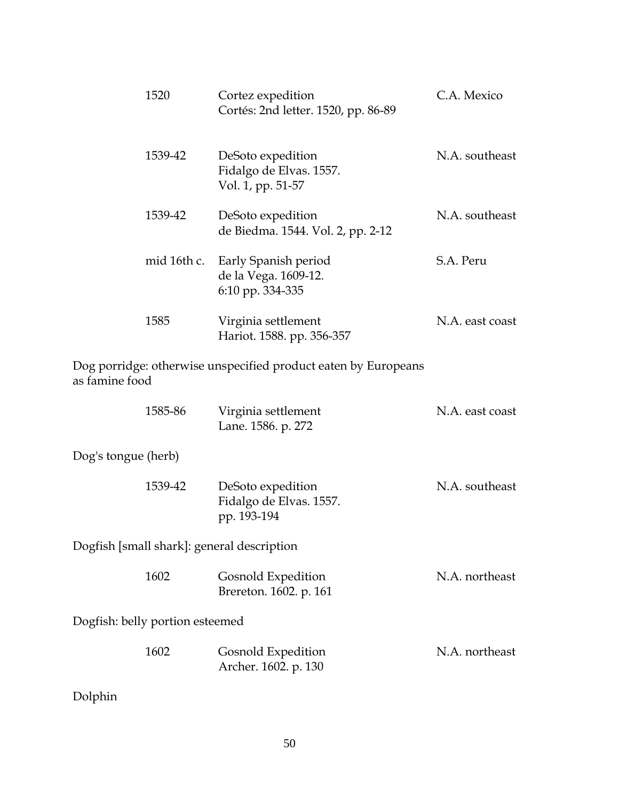| 1520        | Cortez expedition<br>Cortés: 2nd letter. 1520, pp. 86-89          | C.A. Mexico     |
|-------------|-------------------------------------------------------------------|-----------------|
| 1539-42     | DeSoto expedition<br>Fidalgo de Elvas. 1557.<br>Vol. 1, pp. 51-57 | N.A. southeast  |
| 1539-42     | DeSoto expedition<br>de Biedma. 1544. Vol. 2, pp. 2-12            | N.A. southeast  |
| mid 16th c. | Early Spanish period<br>de la Vega. 1609-12.<br>6:10 pp. 334-335  | S.A. Peru       |
| 1585        | Virginia settlement<br>Hariot. 1588. pp. 356-357                  | N.A. east coast |
|             |                                                                   |                 |

Dog porridge: otherwise unspecified product eaten by Europeans as famine food

|                                            | 1585-86 | Virginia settlement<br>Lane. 1586. p. 272                   | N.A. east coast |
|--------------------------------------------|---------|-------------------------------------------------------------|-----------------|
| Dog's tongue (herb)                        |         |                                                             |                 |
|                                            | 1539-42 | DeSoto expedition<br>Fidalgo de Elvas. 1557.<br>pp. 193-194 | N.A. southeast  |
| Dogfish [small shark]: general description |         |                                                             |                 |
|                                            | 1602    | Gosnold Expedition<br>Brereton. 1602. p. 161                | N.A. northeast  |
| Dogfish: belly portion esteemed            |         |                                                             |                 |
|                                            | 1602    | Gosnold Expedition<br>Archer. 1602. p. 130                  | N.A. northeast  |

Dolphin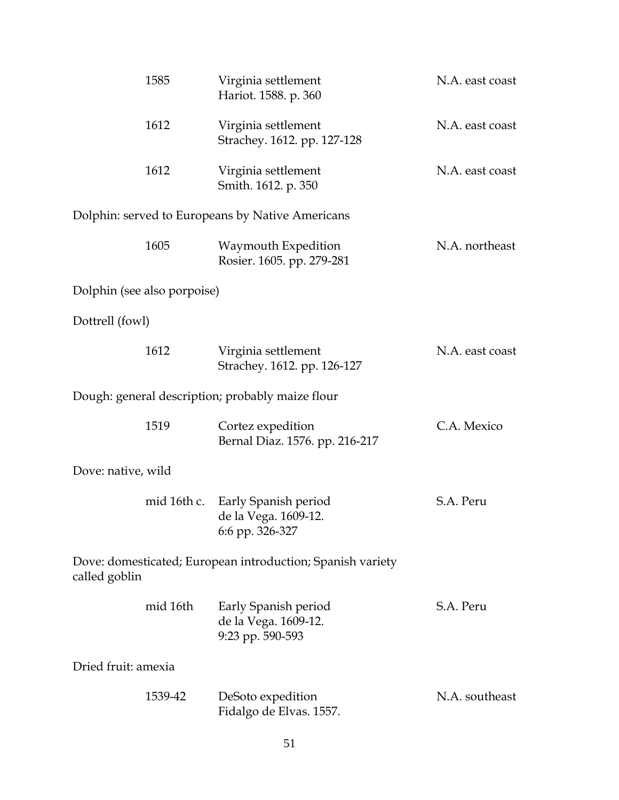|                                                                             | 1585        | Virginia settlement<br>Hariot. 1588. p. 360                      | N.A. east coast |  |
|-----------------------------------------------------------------------------|-------------|------------------------------------------------------------------|-----------------|--|
|                                                                             | 1612        | Virginia settlement<br>Strachey. 1612. pp. 127-128               | N.A. east coast |  |
|                                                                             | 1612        | Virginia settlement<br>Smith. 1612. p. 350                       | N.A. east coast |  |
|                                                                             |             | Dolphin: served to Europeans by Native Americans                 |                 |  |
|                                                                             | 1605        | Waymouth Expedition<br>Rosier. 1605. pp. 279-281                 | N.A. northeast  |  |
| Dolphin (see also porpoise)                                                 |             |                                                                  |                 |  |
| Dottrell (fowl)                                                             |             |                                                                  |                 |  |
|                                                                             | 1612        | Virginia settlement<br>Strachey. 1612. pp. 126-127               | N.A. east coast |  |
|                                                                             |             | Dough: general description; probably maize flour                 |                 |  |
|                                                                             | 1519        | Cortez expedition<br>Bernal Diaz. 1576. pp. 216-217              | C.A. Mexico     |  |
| Dove: native, wild                                                          |             |                                                                  |                 |  |
|                                                                             | mid 16th c. | Early Spanish period<br>de la Vega. 1609-12.<br>6:6 pp. 326-327  | S.A. Peru       |  |
| Dove: domesticated; European introduction; Spanish variety<br>called goblin |             |                                                                  |                 |  |
|                                                                             | mid 16th    | Early Spanish period<br>de la Vega. 1609-12.<br>9:23 pp. 590-593 | S.A. Peru       |  |
| Dried fruit: amexia                                                         |             |                                                                  |                 |  |
|                                                                             | 1539-42     | DeSoto expedition<br>Fidalgo de Elvas. 1557.                     | N.A. southeast  |  |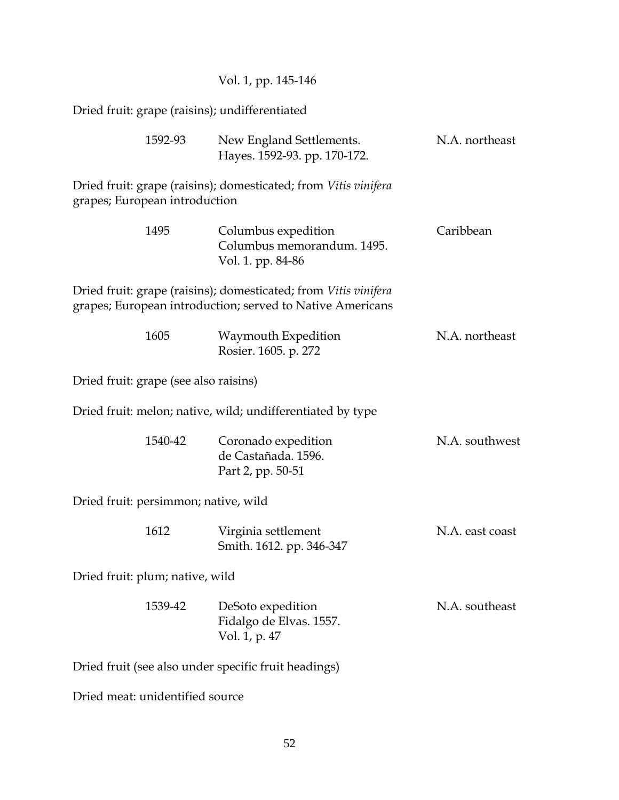|                                                      | Vol. 1, pp. 145-146                                                                                                          |                 |  |  |
|------------------------------------------------------|------------------------------------------------------------------------------------------------------------------------------|-----------------|--|--|
| Dried fruit: grape (raisins); undifferentiated       |                                                                                                                              |                 |  |  |
| 1592-93                                              | New England Settlements.<br>Hayes. 1592-93. pp. 170-172.                                                                     | N.A. northeast  |  |  |
| grapes; European introduction                        | Dried fruit: grape (raisins); domesticated; from Vitis vinifera                                                              |                 |  |  |
| 1495                                                 | Columbus expedition<br>Columbus memorandum. 1495.<br>Vol. 1. pp. 84-86                                                       | Caribbean       |  |  |
|                                                      | Dried fruit: grape (raisins); domesticated; from Vitis vinifera<br>grapes; European introduction; served to Native Americans |                 |  |  |
| 1605                                                 | Waymouth Expedition<br>Rosier. 1605. p. 272                                                                                  | N.A. northeast  |  |  |
| Dried fruit: grape (see also raisins)                |                                                                                                                              |                 |  |  |
|                                                      | Dried fruit: melon; native, wild; undifferentiated by type                                                                   |                 |  |  |
| 1540-42                                              | Coronado expedition<br>de Castañada. 1596.<br>Part 2, pp. 50-51                                                              | N.A. southwest  |  |  |
| Dried fruit: persimmon; native, wild                 |                                                                                                                              |                 |  |  |
| 1612                                                 | Virginia settlement<br>Smith. 1612. pp. 346-347                                                                              | N.A. east coast |  |  |
| Dried fruit: plum; native, wild                      |                                                                                                                              |                 |  |  |
| 1539-42                                              | DeSoto expedition<br>Fidalgo de Elvas. 1557.<br>Vol. 1, p. 47                                                                | N.A. southeast  |  |  |
| Dried fruit (see also under specific fruit headings) |                                                                                                                              |                 |  |  |
| Dried meat: unidentified source                      |                                                                                                                              |                 |  |  |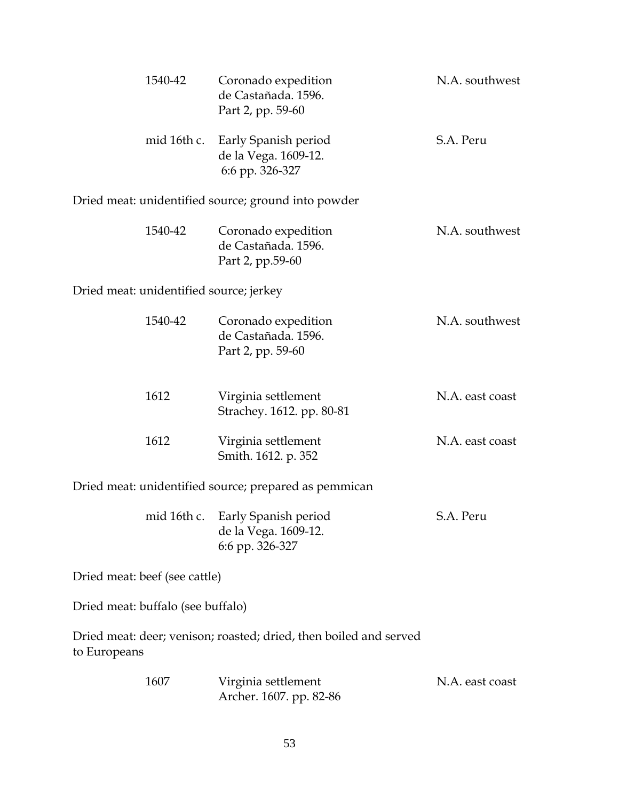|                                         | 1540-42     | Coronado expedition<br>de Castañada. 1596.<br>Part 2, pp. 59-60   | N.A. southwest  |
|-----------------------------------------|-------------|-------------------------------------------------------------------|-----------------|
|                                         | mid 16th c. | Early Spanish period<br>de la Vega. 1609-12.<br>6:6 pp. 326-327   | S.A. Peru       |
|                                         |             | Dried meat: unidentified source; ground into powder               |                 |
|                                         | 1540-42     | Coronado expedition<br>de Castañada. 1596.<br>Part 2, pp.59-60    | N.A. southwest  |
| Dried meat: unidentified source; jerkey |             |                                                                   |                 |
|                                         | 1540-42     | Coronado expedition<br>de Castañada. 1596.<br>Part 2, pp. 59-60   | N.A. southwest  |
|                                         | 1612        | Virginia settlement<br>Strachey. 1612. pp. 80-81                  | N.A. east coast |
|                                         | 1612        | Virginia settlement<br>Smith. 1612. p. 352                        | N.A. east coast |
|                                         |             | Dried meat: unidentified source; prepared as pemmican             |                 |
|                                         | mid 16th c. | Early Spanish period<br>de la Vega. 1609-12.<br>6:6 pp. 326-327   | S.A. Peru       |
| Dried meat: beef (see cattle)           |             |                                                                   |                 |
| Dried meat: buffalo (see buffalo)       |             |                                                                   |                 |
| to Europeans                            |             | Dried meat: deer; venison; roasted; dried, then boiled and served |                 |
|                                         | 1607        | Virginia settlement<br>Archer. 1607. pp. 82-86                    | N.A. east coast |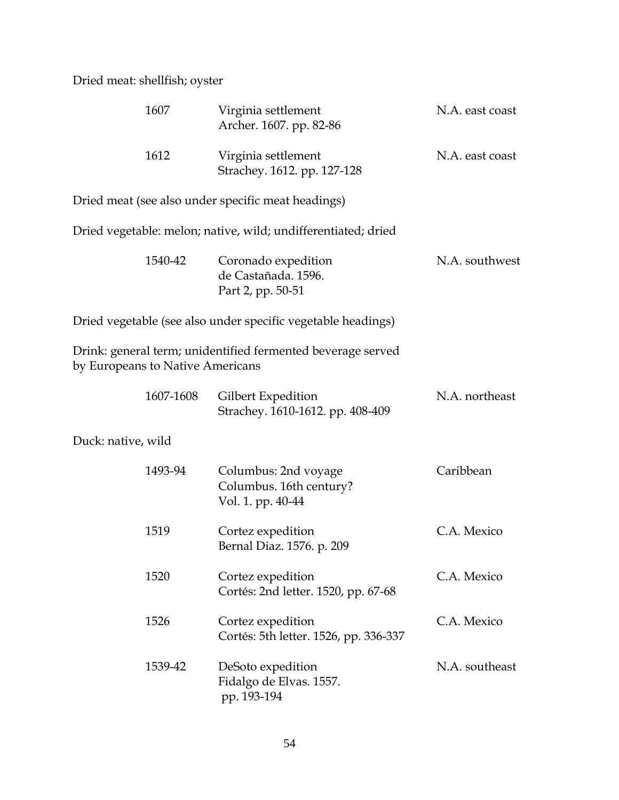Dried meat: shellfish; oyster

|                    | 1607                             | Virginia settlement<br>Archer. 1607. pp. 82-86                       | N.A. east coast |
|--------------------|----------------------------------|----------------------------------------------------------------------|-----------------|
|                    | 1612                             | Virginia settlement<br>Strachey. 1612. pp. 127-128                   | N.A. east coast |
|                    |                                  | Dried meat (see also under specific meat headings)                   |                 |
|                    |                                  | Dried vegetable: melon; native, wild; undifferentiated; dried        |                 |
|                    | 1540-42                          | Coronado expedition<br>de Castañada. 1596.<br>Part 2, pp. 50-51      | N.A. southwest  |
|                    |                                  | Dried vegetable (see also under specific vegetable headings)         |                 |
|                    | by Europeans to Native Americans | Drink: general term; unidentified fermented beverage served          |                 |
|                    | 1607-1608                        | Gilbert Expedition<br>Strachey. 1610-1612. pp. 408-409               | N.A. northeast  |
| Duck: native, wild |                                  |                                                                      |                 |
|                    | 1493-94                          | Columbus: 2nd voyage<br>Columbus. 16th century?<br>Vol. 1. pp. 40-44 | Caribbean       |
|                    | 1519                             | Cortez expedition<br>Bernal Diaz. 1576. p. 209                       | C.A. Mexico     |
|                    | 1520                             | Cortez expedition<br>Cortés: 2nd letter. 1520, pp. 67-68             | C.A. Mexico     |
|                    | 1526                             | Cortez expedition<br>Cortés: 5th letter. 1526, pp. 336-337           | C.A. Mexico     |
|                    | 1539-42                          | DeSoto expedition<br>Fidalgo de Elvas. 1557.<br>pp. 193-194          | N.A. southeast  |